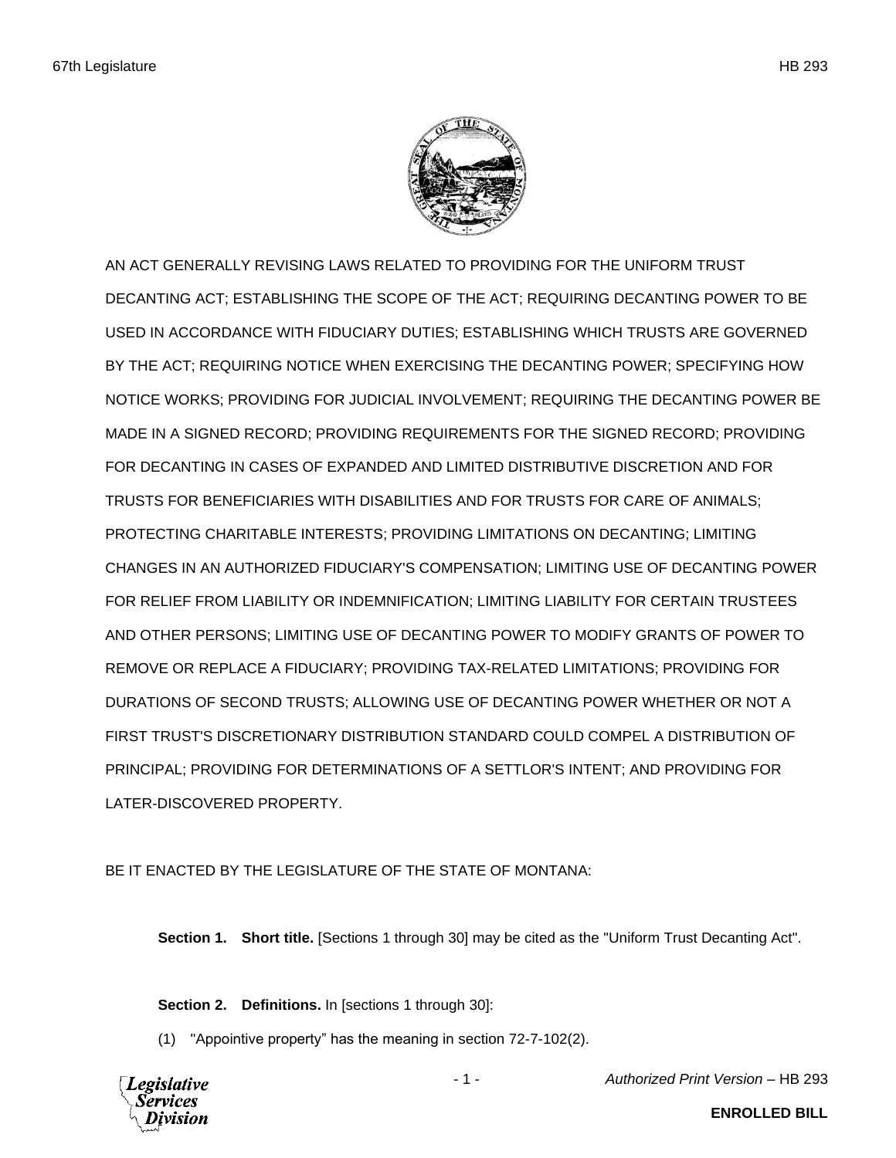

AN ACT GENERALLY REVISING LAWS RELATED TO PROVIDING FOR THE UNIFORM TRUST DECANTING ACT; ESTABLISHING THE SCOPE OF THE ACT; REQUIRING DECANTING POWER TO BE USED IN ACCORDANCE WITH FIDUCIARY DUTIES; ESTABLISHING WHICH TRUSTS ARE GOVERNED BY THE ACT; REQUIRING NOTICE WHEN EXERCISING THE DECANTING POWER; SPECIFYING HOW NOTICE WORKS; PROVIDING FOR JUDICIAL INVOLVEMENT; REQUIRING THE DECANTING POWER BE MADE IN A SIGNED RECORD; PROVIDING REQUIREMENTS FOR THE SIGNED RECORD; PROVIDING FOR DECANTING IN CASES OF EXPANDED AND LIMITED DISTRIBUTIVE DISCRETION AND FOR TRUSTS FOR BENEFICIARIES WITH DISABILITIES AND FOR TRUSTS FOR CARE OF ANIMALS; PROTECTING CHARITABLE INTERESTS; PROVIDING LIMITATIONS ON DECANTING; LIMITING CHANGES IN AN AUTHORIZED FIDUCIARY'S COMPENSATION; LIMITING USE OF DECANTING POWER FOR RELIEF FROM LIABILITY OR INDEMNIFICATION; LIMITING LIABILITY FOR CERTAIN TRUSTEES AND OTHER PERSONS; LIMITING USE OF DECANTING POWER TO MODIFY GRANTS OF POWER TO REMOVE OR REPLACE A FIDUCIARY; PROVIDING TAX-RELATED LIMITATIONS; PROVIDING FOR DURATIONS OF SECOND TRUSTS; ALLOWING USE OF DECANTING POWER WHETHER OR NOT A FIRST TRUST'S DISCRETIONARY DISTRIBUTION STANDARD COULD COMPEL A DISTRIBUTION OF PRINCIPAL; PROVIDING FOR DETERMINATIONS OF A SETTLOR'S INTENT; AND PROVIDING FOR LATER-DISCOVERED PROPERTY.

BE IT ENACTED BY THE LEGISLATURE OF THE STATE OF MONTANA:

**Section 1. Short title.** [Sections 1 through 30] may be cited as the "Uniform Trust Decanting Act".

**Section 2. Definitions.** In [sections 1 through 30]:

(1) "Appointive property" has the meaning in section 72-7-102(2).



- 1 - *Authorized Print Version* – HB 293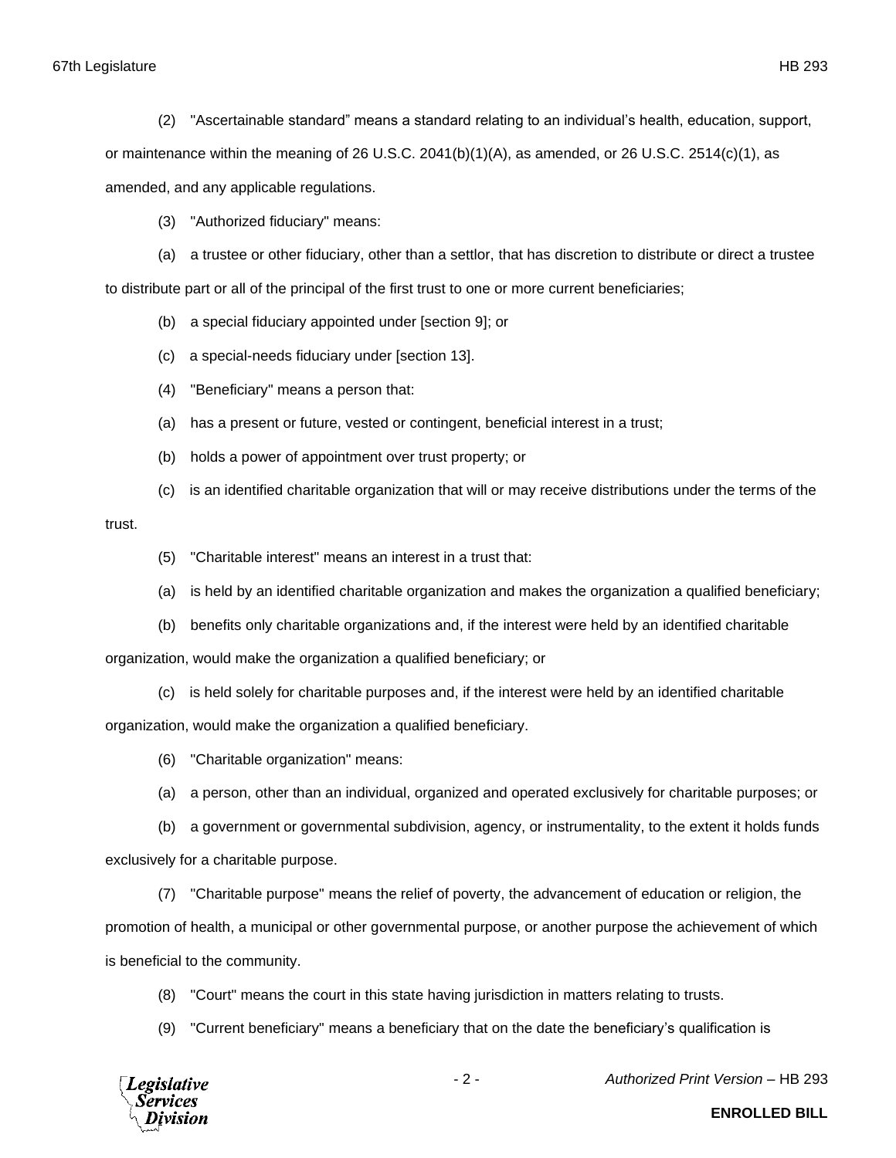67th Legislature HB 293

(2) "Ascertainable standard" means a standard relating to an individual's health, education, support,

or maintenance within the meaning of 26 U.S.C. 2041(b)(1)(A), as amended, or 26 U.S.C. 2514(c)(1), as

amended, and any applicable regulations.

(3) "Authorized fiduciary" means:

(a) a trustee or other fiduciary, other than a settlor, that has discretion to distribute or direct a trustee to distribute part or all of the principal of the first trust to one or more current beneficiaries;

(b) a special fiduciary appointed under [section 9]; or

(c) a special-needs fiduciary under [section 13].

(4) "Beneficiary" means a person that:

(a) has a present or future, vested or contingent, beneficial interest in a trust;

(b) holds a power of appointment over trust property; or

(c) is an identified charitable organization that will or may receive distributions under the terms of the

trust.

(5) "Charitable interest" means an interest in a trust that:

(a) is held by an identified charitable organization and makes the organization a qualified beneficiary;

(b) benefits only charitable organizations and, if the interest were held by an identified charitable

organization, would make the organization a qualified beneficiary; or

(c) is held solely for charitable purposes and, if the interest were held by an identified charitable

organization, would make the organization a qualified beneficiary.

(6) "Charitable organization" means:

(a) a person, other than an individual, organized and operated exclusively for charitable purposes; or

(b) a government or governmental subdivision, agency, or instrumentality, to the extent it holds funds exclusively for a charitable purpose.

(7) "Charitable purpose" means the relief of poverty, the advancement of education or religion, the promotion of health, a municipal or other governmental purpose, or another purpose the achievement of which is beneficial to the community.

(8) "Court" means the court in this state having jurisdiction in matters relating to trusts.

(9) "Current beneficiary" means a beneficiary that on the date the beneficiary's qualification is



- 2 - *Authorized Print Version* – HB 293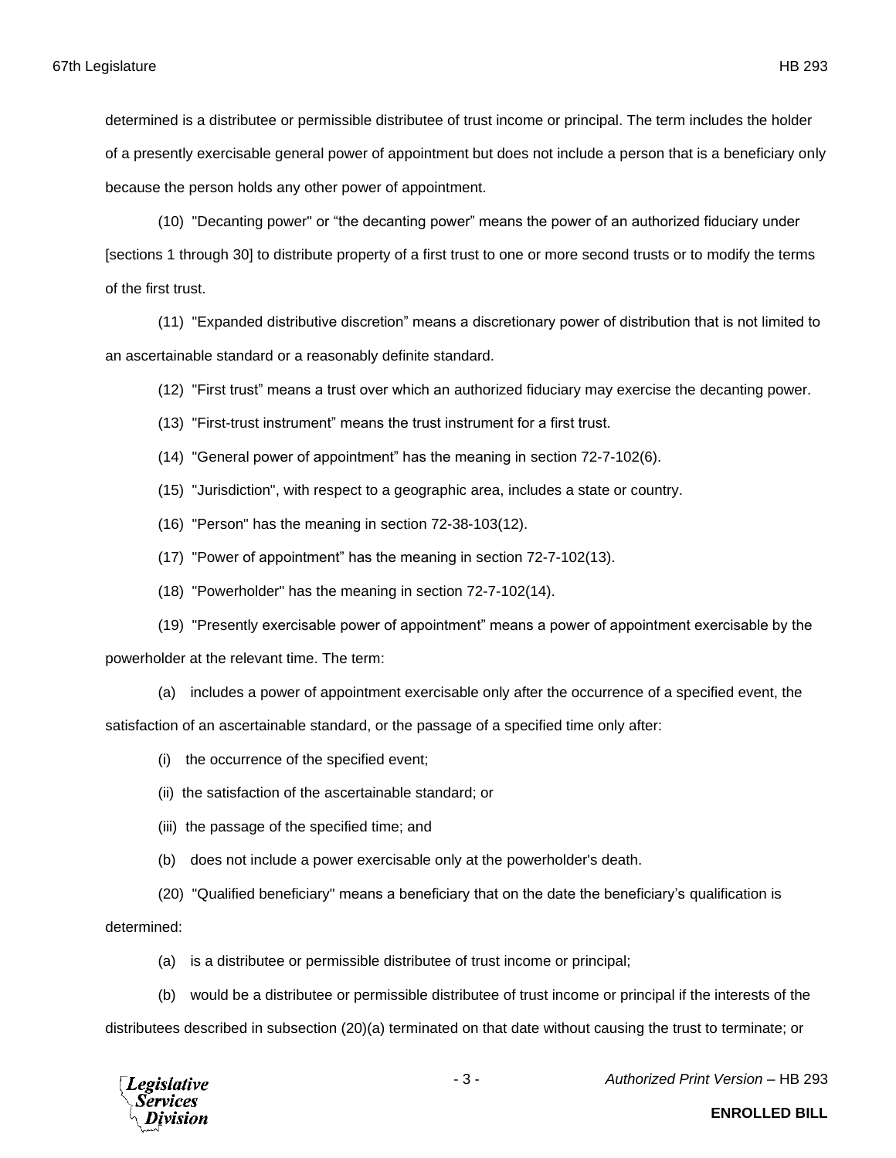determined is a distributee or permissible distributee of trust income or principal. The term includes the holder of a presently exercisable general power of appointment but does not include a person that is a beneficiary only because the person holds any other power of appointment.

(10) "Decanting power" or "the decanting power" means the power of an authorized fiduciary under [sections 1 through 30] to distribute property of a first trust to one or more second trusts or to modify the terms of the first trust.

(11) "Expanded distributive discretion" means a discretionary power of distribution that is not limited to an ascertainable standard or a reasonably definite standard.

(12) "First trust" means a trust over which an authorized fiduciary may exercise the decanting power.

- (13) "First-trust instrument" means the trust instrument for a first trust.
- (14) "General power of appointment" has the meaning in section 72-7-102(6).
- (15) "Jurisdiction", with respect to a geographic area, includes a state or country.
- (16) "Person" has the meaning in section 72-38-103(12).
- (17) "Power of appointment" has the meaning in section 72-7-102(13).
- (18) "Powerholder" has the meaning in section 72-7-102(14).
- (19) "Presently exercisable power of appointment" means a power of appointment exercisable by the

powerholder at the relevant time. The term:

(a) includes a power of appointment exercisable only after the occurrence of a specified event, the

satisfaction of an ascertainable standard, or the passage of a specified time only after:

- (i) the occurrence of the specified event;
- (ii) the satisfaction of the ascertainable standard; or
- (iii) the passage of the specified time; and
- (b) does not include a power exercisable only at the powerholder's death.
- (20) "Qualified beneficiary" means a beneficiary that on the date the beneficiary's qualification is

determined:

(a) is a distributee or permissible distributee of trust income or principal;

(b) would be a distributee or permissible distributee of trust income or principal if the interests of the

distributees described in subsection (20)(a) terminated on that date without causing the trust to terminate; or



- 3 - *Authorized Print Version* – HB 293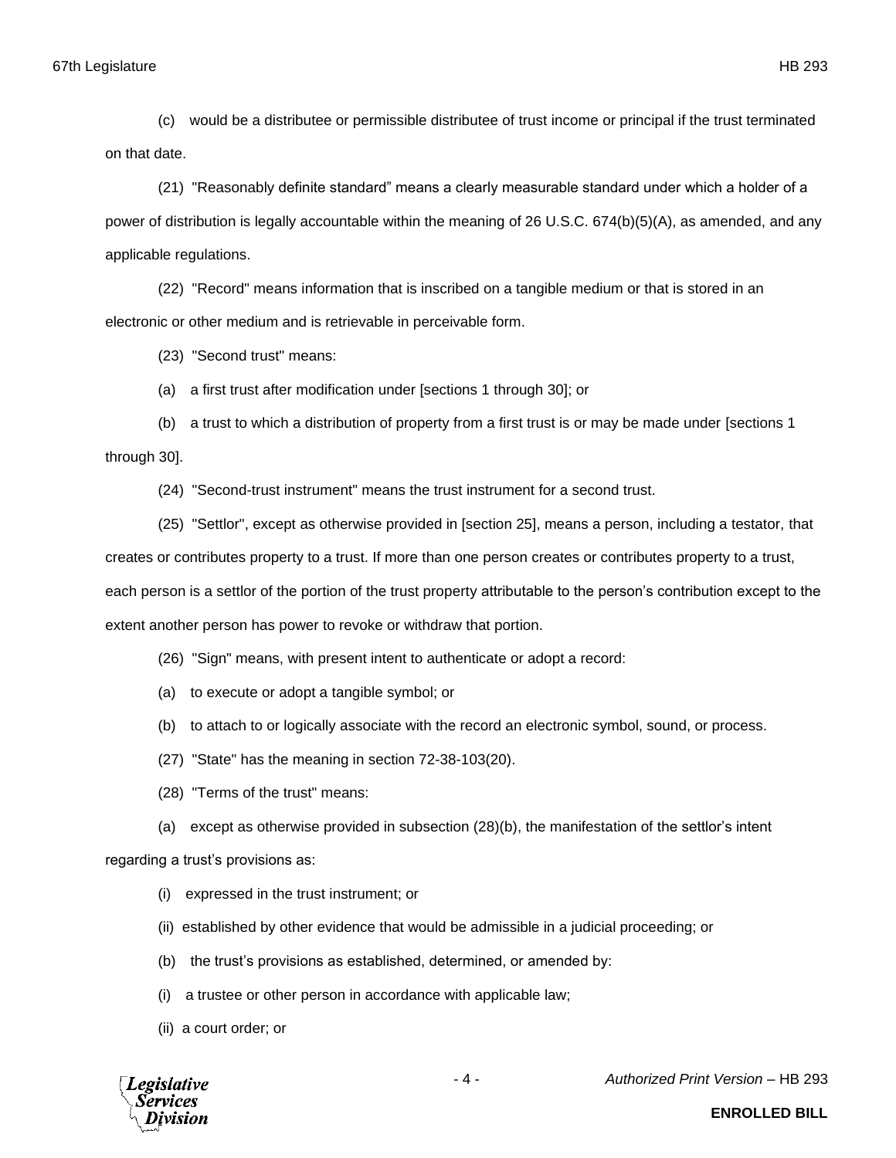(c) would be a distributee or permissible distributee of trust income or principal if the trust terminated on that date.

(21) "Reasonably definite standard" means a clearly measurable standard under which a holder of a power of distribution is legally accountable within the meaning of 26 U.S.C. 674(b)(5)(A), as amended, and any applicable regulations.

(22) "Record" means information that is inscribed on a tangible medium or that is stored in an electronic or other medium and is retrievable in perceivable form.

(23) "Second trust" means:

(a) a first trust after modification under [sections 1 through 30]; or

(b) a trust to which a distribution of property from a first trust is or may be made under [sections 1 through 30].

(24) "Second-trust instrument" means the trust instrument for a second trust.

(25) "Settlor", except as otherwise provided in [section 25], means a person, including a testator, that creates or contributes property to a trust. If more than one person creates or contributes property to a trust, each person is a settlor of the portion of the trust property attributable to the person's contribution except to the extent another person has power to revoke or withdraw that portion.

(26) "Sign" means, with present intent to authenticate or adopt a record:

- (a) to execute or adopt a tangible symbol; or
- (b) to attach to or logically associate with the record an electronic symbol, sound, or process.
- (27) "State" has the meaning in section 72-38-103(20).
- (28) "Terms of the trust" means:
- (a) except as otherwise provided in subsection (28)(b), the manifestation of the settlor's intent

regarding a trust's provisions as:

- (i) expressed in the trust instrument; or
- (ii) established by other evidence that would be admissible in a judicial proceeding; or
- (b) the trust's provisions as established, determined, or amended by:
- (i) a trustee or other person in accordance with applicable law;
- (ii) a court order; or



- 4 - *Authorized Print Version* – HB 293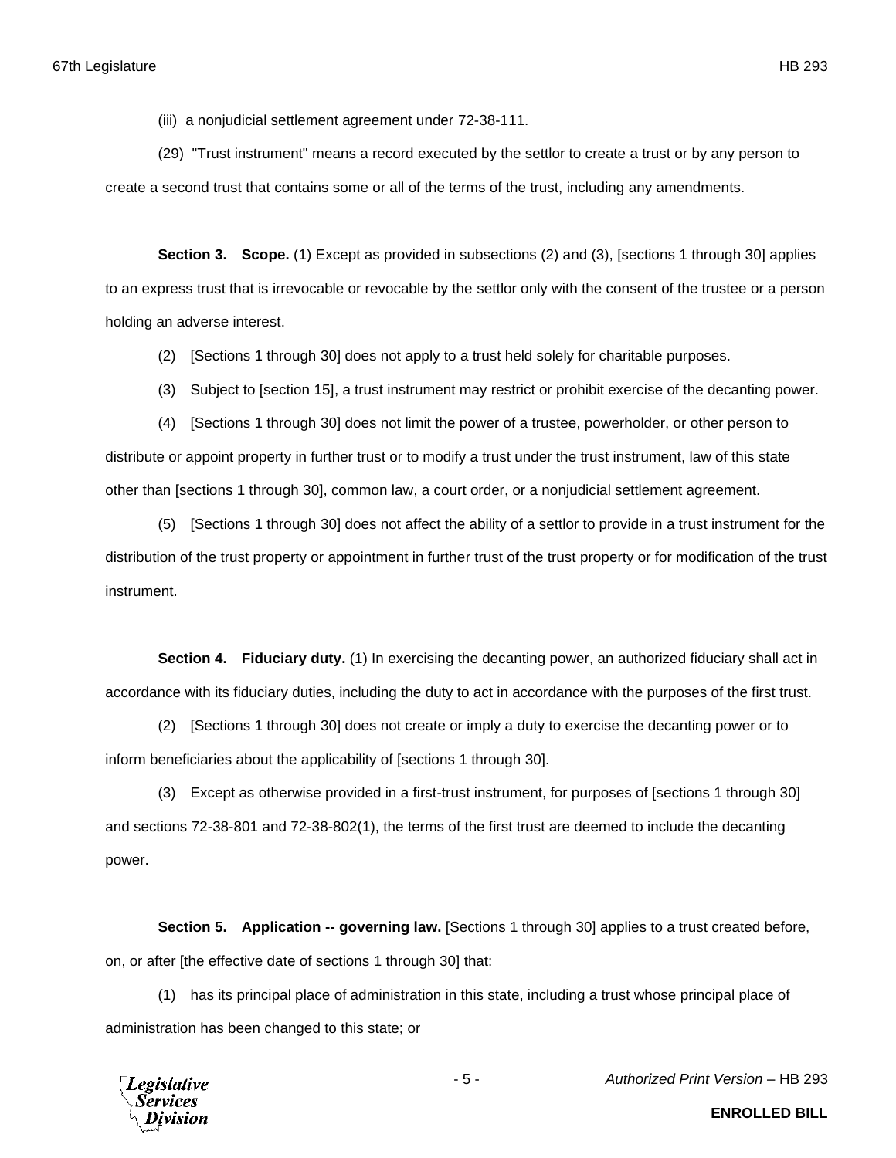(iii) a nonjudicial settlement agreement under 72-38-111.

(29) "Trust instrument" means a record executed by the settlor to create a trust or by any person to create a second trust that contains some or all of the terms of the trust, including any amendments.

**Section 3. Scope.** (1) Except as provided in subsections (2) and (3), [sections 1 through 30] applies to an express trust that is irrevocable or revocable by the settlor only with the consent of the trustee or a person holding an adverse interest.

(2) [Sections 1 through 30] does not apply to a trust held solely for charitable purposes.

(3) Subject to [section 15], a trust instrument may restrict or prohibit exercise of the decanting power.

(4) [Sections 1 through 30] does not limit the power of a trustee, powerholder, or other person to distribute or appoint property in further trust or to modify a trust under the trust instrument, law of this state other than [sections 1 through 30], common law, a court order, or a nonjudicial settlement agreement.

(5) [Sections 1 through 30] does not affect the ability of a settlor to provide in a trust instrument for the distribution of the trust property or appointment in further trust of the trust property or for modification of the trust instrument.

**Section 4. Fiduciary duty.** (1) In exercising the decanting power, an authorized fiduciary shall act in accordance with its fiduciary duties, including the duty to act in accordance with the purposes of the first trust.

(2) [Sections 1 through 30] does not create or imply a duty to exercise the decanting power or to inform beneficiaries about the applicability of [sections 1 through 30].

(3) Except as otherwise provided in a first-trust instrument, for purposes of [sections 1 through 30] and sections 72-38-801 and 72-38-802(1), the terms of the first trust are deemed to include the decanting power.

**Section 5. Application -- governing law.** [Sections 1 through 30] applies to a trust created before, on, or after [the effective date of sections 1 through 30] that:

(1) has its principal place of administration in this state, including a trust whose principal place of administration has been changed to this state; or

**Legislative** Services

- 5 - *Authorized Print Version* – HB 293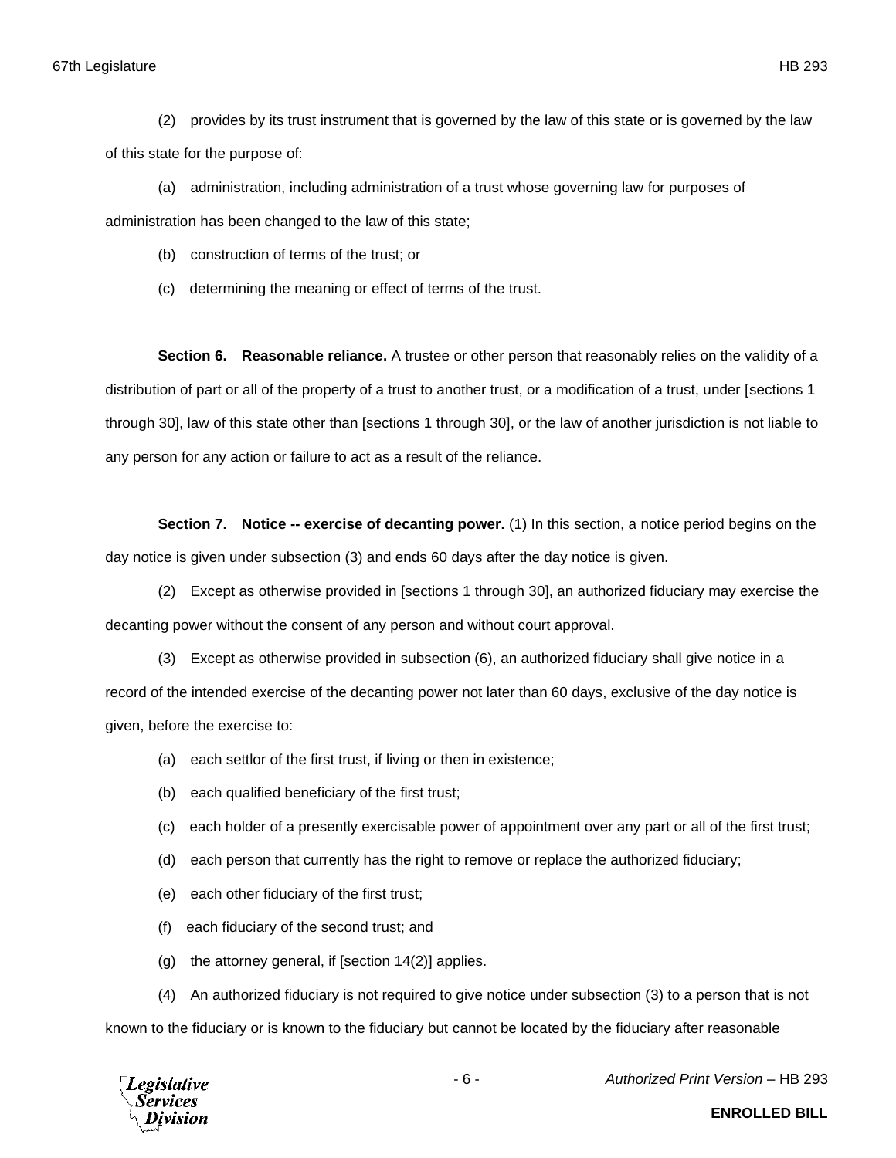(2) provides by its trust instrument that is governed by the law of this state or is governed by the law of this state for the purpose of:

(a) administration, including administration of a trust whose governing law for purposes of administration has been changed to the law of this state;

(b) construction of terms of the trust; or

(c) determining the meaning or effect of terms of the trust.

**Section 6. Reasonable reliance.** A trustee or other person that reasonably relies on the validity of a distribution of part or all of the property of a trust to another trust, or a modification of a trust, under [sections 1 through 30], law of this state other than [sections 1 through 30], or the law of another jurisdiction is not liable to any person for any action or failure to act as a result of the reliance.

**Section 7. Notice -- exercise of decanting power.** (1) In this section, a notice period begins on the day notice is given under subsection (3) and ends 60 days after the day notice is given.

(2) Except as otherwise provided in [sections 1 through 30], an authorized fiduciary may exercise the decanting power without the consent of any person and without court approval.

(3) Except as otherwise provided in subsection (6), an authorized fiduciary shall give notice in a record of the intended exercise of the decanting power not later than 60 days, exclusive of the day notice is given, before the exercise to:

(a) each settlor of the first trust, if living or then in existence;

- (b) each qualified beneficiary of the first trust;
- (c) each holder of a presently exercisable power of appointment over any part or all of the first trust;
- (d) each person that currently has the right to remove or replace the authorized fiduciary;
- (e) each other fiduciary of the first trust;
- (f) each fiduciary of the second trust; and
- $(q)$  the attorney general, if [section 14(2)] applies.

(4) An authorized fiduciary is not required to give notice under subsection (3) to a person that is not known to the fiduciary or is known to the fiduciary but cannot be located by the fiduciary after reasonable



- 6 - *Authorized Print Version* – HB 293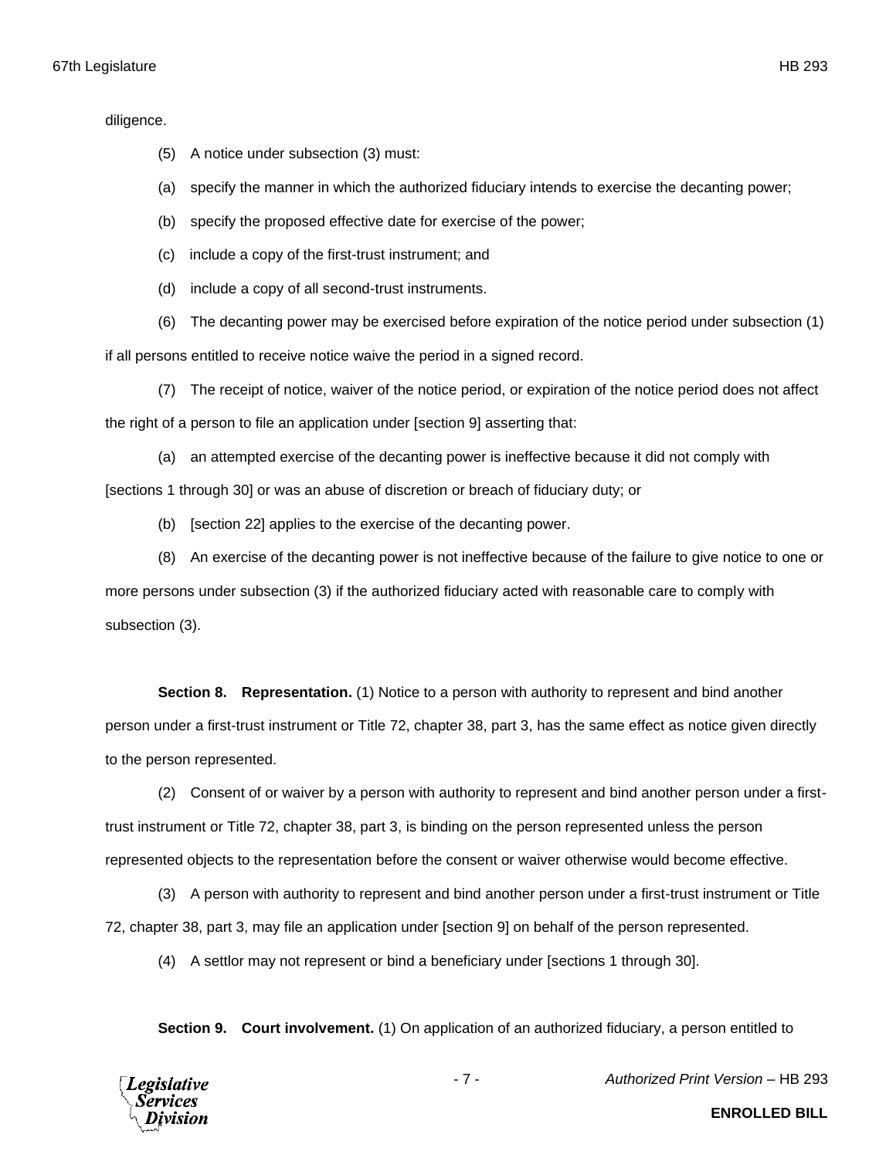diligence.

- (a) specify the manner in which the authorized fiduciary intends to exercise the decanting power;
- (b) specify the proposed effective date for exercise of the power;
- (c) include a copy of the first-trust instrument; and
- (d) include a copy of all second-trust instruments.
- (6) The decanting power may be exercised before expiration of the notice period under subsection (1)

if all persons entitled to receive notice waive the period in a signed record.

(7) The receipt of notice, waiver of the notice period, or expiration of the notice period does not affect the right of a person to file an application under [section 9] asserting that:

(a) an attempted exercise of the decanting power is ineffective because it did not comply with [sections 1 through 30] or was an abuse of discretion or breach of fiduciary duty; or

(b) [section 22] applies to the exercise of the decanting power.

(8) An exercise of the decanting power is not ineffective because of the failure to give notice to one or more persons under subsection (3) if the authorized fiduciary acted with reasonable care to comply with subsection (3).

**Section 8. Representation.** (1) Notice to a person with authority to represent and bind another person under a first-trust instrument or Title 72, chapter 38, part 3, has the same effect as notice given directly to the person represented.

(2) Consent of or waiver by a person with authority to represent and bind another person under a firsttrust instrument or Title 72, chapter 38, part 3, is binding on the person represented unless the person represented objects to the representation before the consent or waiver otherwise would become effective.

(3) A person with authority to represent and bind another person under a first-trust instrument or Title 72, chapter 38, part 3, may file an application under [section 9] on behalf of the person represented.

(4) A settlor may not represent or bind a beneficiary under [sections 1 through 30].

**Section 9. Court involvement.** (1) On application of an authorized fiduciary, a person entitled to



**ENROLLED BILL**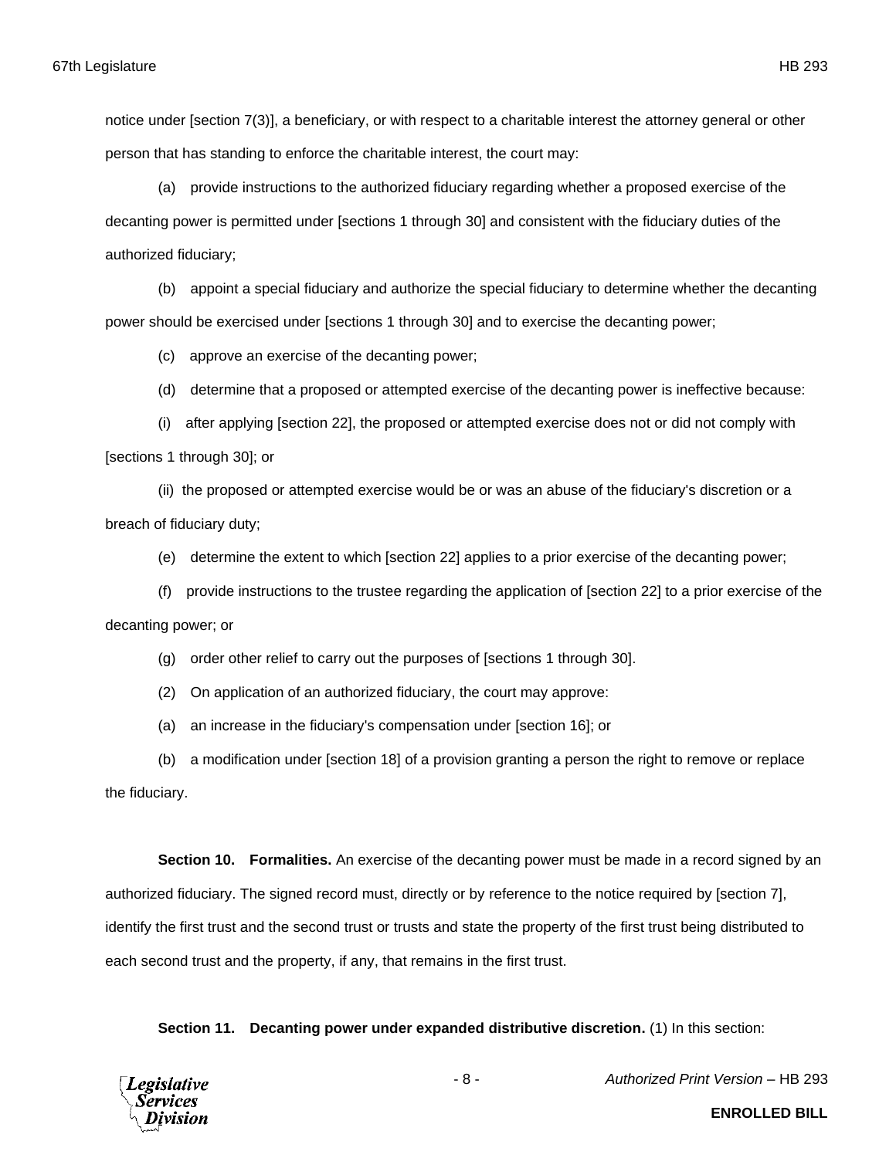notice under [section 7(3)], a beneficiary, or with respect to a charitable interest the attorney general or other person that has standing to enforce the charitable interest, the court may:

(a) provide instructions to the authorized fiduciary regarding whether a proposed exercise of the decanting power is permitted under [sections 1 through 30] and consistent with the fiduciary duties of the authorized fiduciary;

(b) appoint a special fiduciary and authorize the special fiduciary to determine whether the decanting power should be exercised under [sections 1 through 30] and to exercise the decanting power;

(c) approve an exercise of the decanting power;

(d) determine that a proposed or attempted exercise of the decanting power is ineffective because:

(i) after applying [section 22], the proposed or attempted exercise does not or did not comply with [sections 1 through 30]; or

(ii) the proposed or attempted exercise would be or was an abuse of the fiduciary's discretion or a breach of fiduciary duty;

(e) determine the extent to which [section 22] applies to a prior exercise of the decanting power;

(f) provide instructions to the trustee regarding the application of [section 22] to a prior exercise of the decanting power; or

(g) order other relief to carry out the purposes of [sections 1 through 30].

(2) On application of an authorized fiduciary, the court may approve:

(a) an increase in the fiduciary's compensation under [section 16]; or

(b) a modification under [section 18] of a provision granting a person the right to remove or replace the fiduciary.

**Section 10. Formalities.** An exercise of the decanting power must be made in a record signed by an authorized fiduciary. The signed record must, directly or by reference to the notice required by [section 7], identify the first trust and the second trust or trusts and state the property of the first trust being distributed to each second trust and the property, if any, that remains in the first trust.

**Section 11. Decanting power under expanded distributive discretion.** (1) In this section:

**Legislative** Services

- 8 - *Authorized Print Version* – HB 293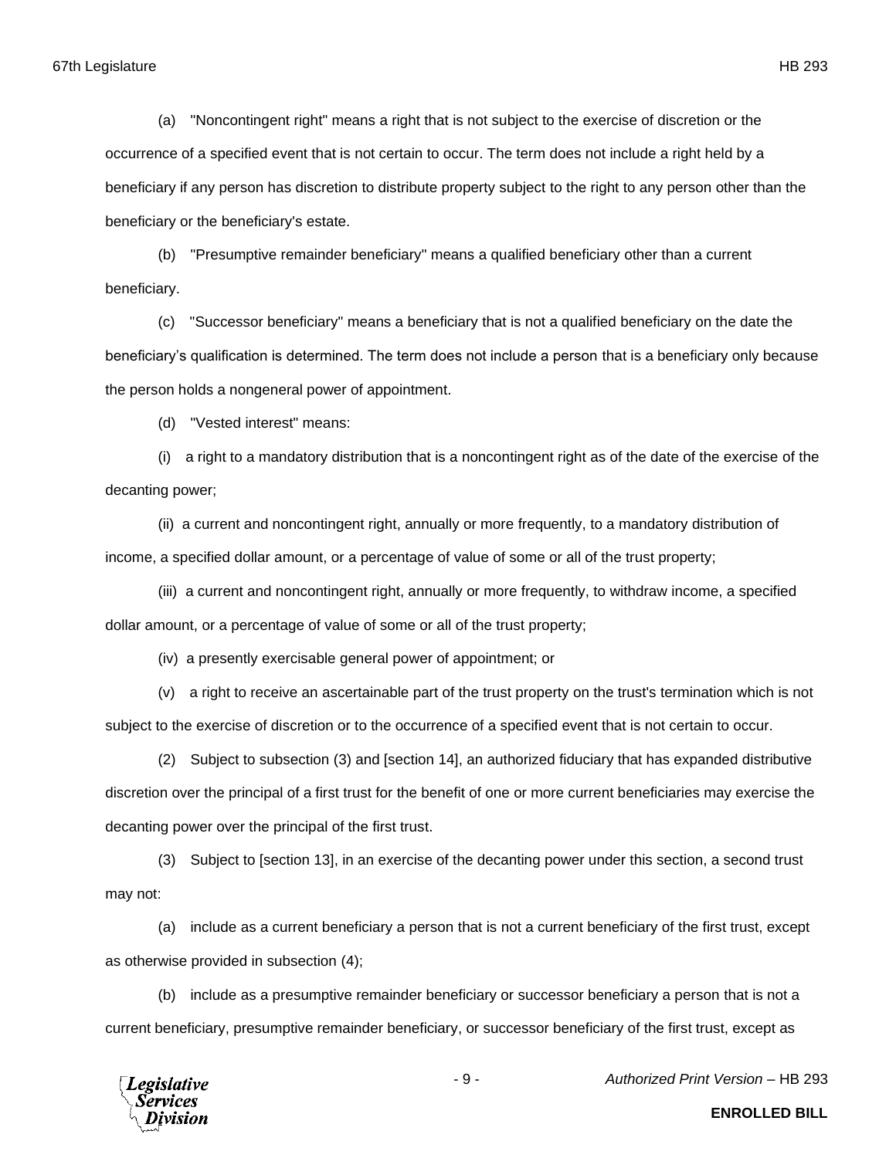(a) "Noncontingent right" means a right that is not subject to the exercise of discretion or the occurrence of a specified event that is not certain to occur. The term does not include a right held by a beneficiary if any person has discretion to distribute property subject to the right to any person other than the beneficiary or the beneficiary's estate.

(b) "Presumptive remainder beneficiary" means a qualified beneficiary other than a current beneficiary.

(c) "Successor beneficiary" means a beneficiary that is not a qualified beneficiary on the date the beneficiary's qualification is determined. The term does not include a person that is a beneficiary only because the person holds a nongeneral power of appointment.

(d) "Vested interest" means:

(i) a right to a mandatory distribution that is a noncontingent right as of the date of the exercise of the decanting power;

(ii) a current and noncontingent right, annually or more frequently, to a mandatory distribution of income, a specified dollar amount, or a percentage of value of some or all of the trust property;

(iii) a current and noncontingent right, annually or more frequently, to withdraw income, a specified dollar amount, or a percentage of value of some or all of the trust property;

(iv) a presently exercisable general power of appointment; or

(v) a right to receive an ascertainable part of the trust property on the trust's termination which is not subject to the exercise of discretion or to the occurrence of a specified event that is not certain to occur.

(2) Subject to subsection (3) and [section 14], an authorized fiduciary that has expanded distributive discretion over the principal of a first trust for the benefit of one or more current beneficiaries may exercise the decanting power over the principal of the first trust.

(3) Subject to [section 13], in an exercise of the decanting power under this section, a second trust may not:

(a) include as a current beneficiary a person that is not a current beneficiary of the first trust, except as otherwise provided in subsection (4);

(b) include as a presumptive remainder beneficiary or successor beneficiary a person that is not a current beneficiary, presumptive remainder beneficiary, or successor beneficiary of the first trust, except as



- 9 - *Authorized Print Version* – HB 293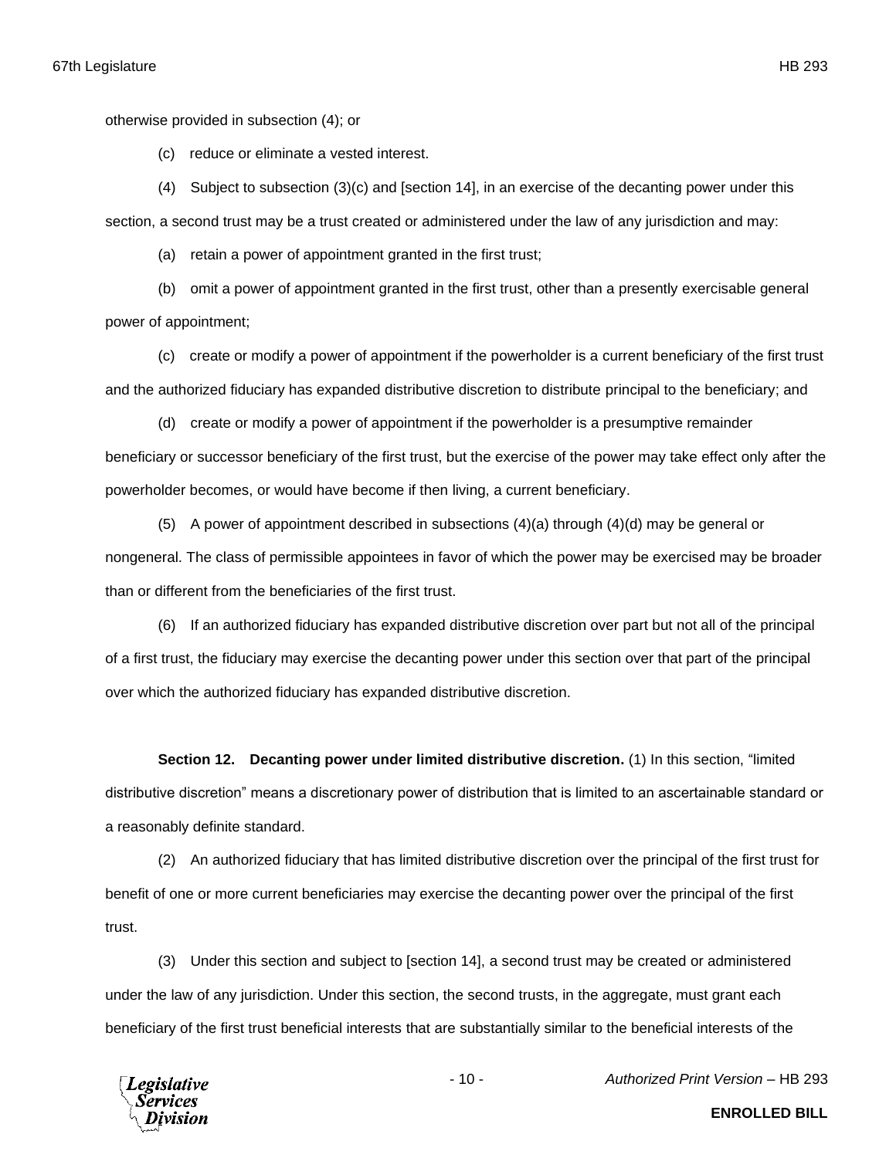otherwise provided in subsection (4); or

(c) reduce or eliminate a vested interest.

(4) Subject to subsection (3)(c) and [section 14], in an exercise of the decanting power under this section, a second trust may be a trust created or administered under the law of any jurisdiction and may:

(a) retain a power of appointment granted in the first trust;

(b) omit a power of appointment granted in the first trust, other than a presently exercisable general power of appointment;

(c) create or modify a power of appointment if the powerholder is a current beneficiary of the first trust and the authorized fiduciary has expanded distributive discretion to distribute principal to the beneficiary; and

(d) create or modify a power of appointment if the powerholder is a presumptive remainder beneficiary or successor beneficiary of the first trust, but the exercise of the power may take effect only after the powerholder becomes, or would have become if then living, a current beneficiary.

(5) A power of appointment described in subsections (4)(a) through (4)(d) may be general or nongeneral. The class of permissible appointees in favor of which the power may be exercised may be broader than or different from the beneficiaries of the first trust.

(6) If an authorized fiduciary has expanded distributive discretion over part but not all of the principal of a first trust, the fiduciary may exercise the decanting power under this section over that part of the principal over which the authorized fiduciary has expanded distributive discretion.

**Section 12. Decanting power under limited distributive discretion.** (1) In this section, "limited distributive discretion" means a discretionary power of distribution that is limited to an ascertainable standard or a reasonably definite standard.

(2) An authorized fiduciary that has limited distributive discretion over the principal of the first trust for benefit of one or more current beneficiaries may exercise the decanting power over the principal of the first trust.

(3) Under this section and subject to [section 14], a second trust may be created or administered under the law of any jurisdiction. Under this section, the second trusts, in the aggregate, must grant each beneficiary of the first trust beneficial interests that are substantially similar to the beneficial interests of the



- 10 - *Authorized Print Version* – HB 293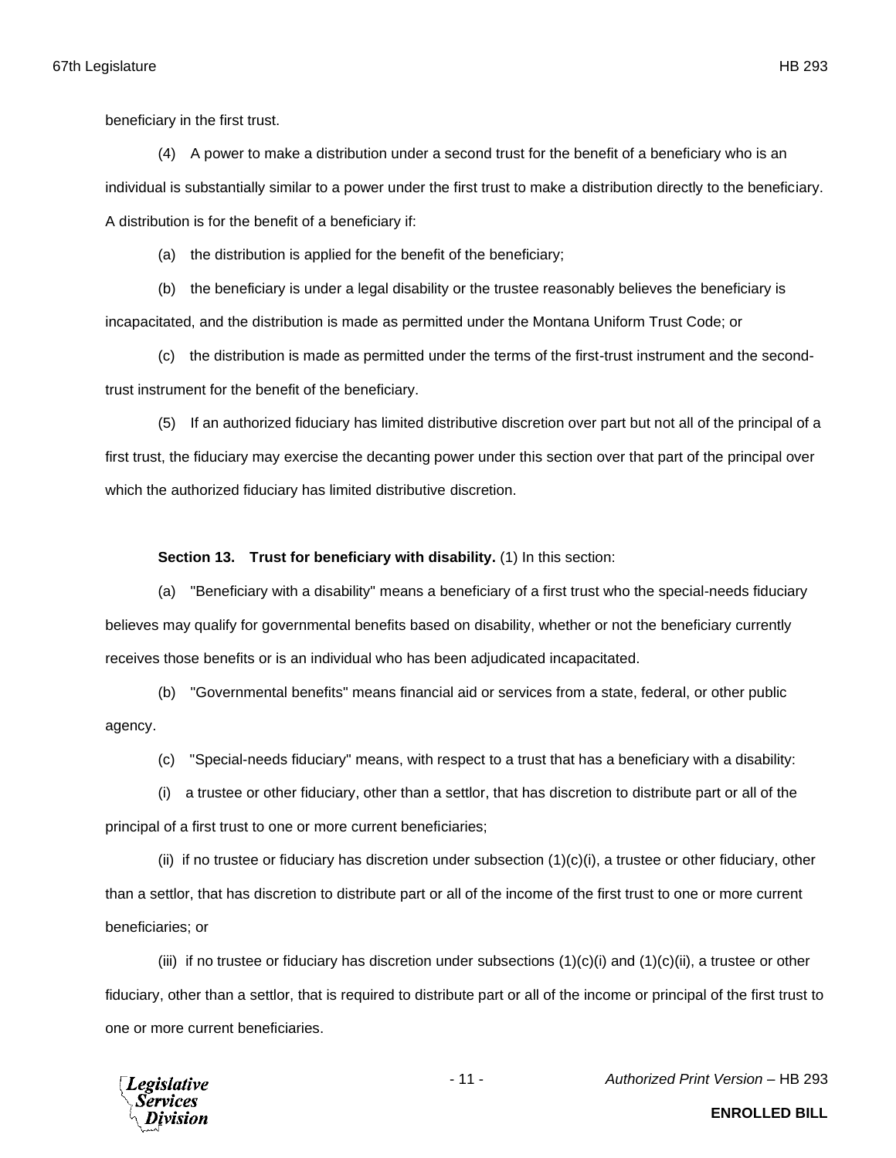beneficiary in the first trust.

(4) A power to make a distribution under a second trust for the benefit of a beneficiary who is an individual is substantially similar to a power under the first trust to make a distribution directly to the beneficiary. A distribution is for the benefit of a beneficiary if:

(a) the distribution is applied for the benefit of the beneficiary;

(b) the beneficiary is under a legal disability or the trustee reasonably believes the beneficiary is incapacitated, and the distribution is made as permitted under the Montana Uniform Trust Code; or

(c) the distribution is made as permitted under the terms of the first-trust instrument and the secondtrust instrument for the benefit of the beneficiary.

(5) If an authorized fiduciary has limited distributive discretion over part but not all of the principal of a first trust, the fiduciary may exercise the decanting power under this section over that part of the principal over which the authorized fiduciary has limited distributive discretion.

## **Section 13. Trust for beneficiary with disability.** (1) In this section:

(a) "Beneficiary with a disability" means a beneficiary of a first trust who the special-needs fiduciary believes may qualify for governmental benefits based on disability, whether or not the beneficiary currently receives those benefits or is an individual who has been adjudicated incapacitated.

(b) "Governmental benefits" means financial aid or services from a state, federal, or other public agency.

(c) "Special-needs fiduciary" means, with respect to a trust that has a beneficiary with a disability:

(i) a trustee or other fiduciary, other than a settlor, that has discretion to distribute part or all of the principal of a first trust to one or more current beneficiaries;

(ii) if no trustee or fiduciary has discretion under subsection  $(1)(c)(i)$ , a trustee or other fiduciary, other than a settlor, that has discretion to distribute part or all of the income of the first trust to one or more current beneficiaries; or

(iii) if no trustee or fiduciary has discretion under subsections  $(1)(c)(i)$  and  $(1)(c)(ii)$ , a trustee or other fiduciary, other than a settlor, that is required to distribute part or all of the income or principal of the first trust to one or more current beneficiaries.



- 11 - *Authorized Print Version* – HB 293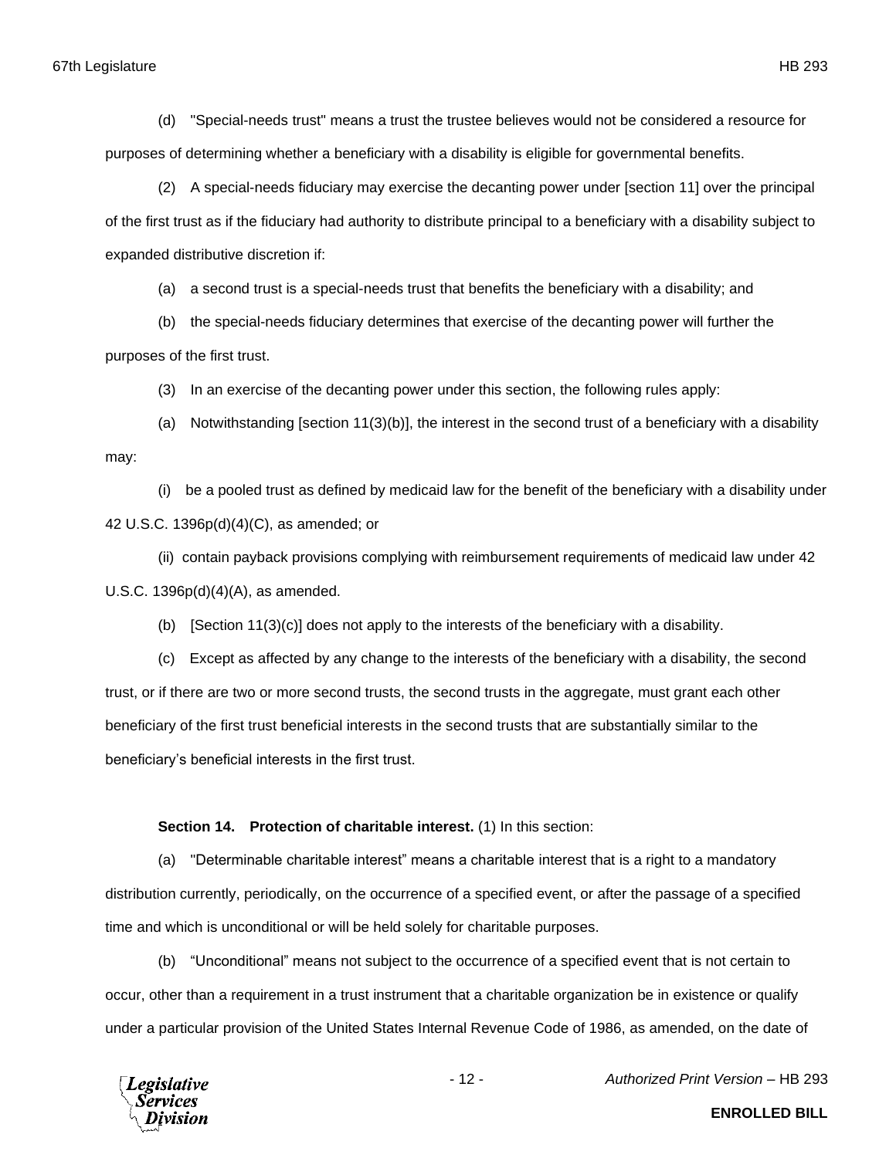(d) "Special-needs trust" means a trust the trustee believes would not be considered a resource for purposes of determining whether a beneficiary with a disability is eligible for governmental benefits.

(2) A special-needs fiduciary may exercise the decanting power under [section 11] over the principal of the first trust as if the fiduciary had authority to distribute principal to a beneficiary with a disability subject to expanded distributive discretion if:

(a) a second trust is a special-needs trust that benefits the beneficiary with a disability; and

(b) the special-needs fiduciary determines that exercise of the decanting power will further the purposes of the first trust.

(3) In an exercise of the decanting power under this section, the following rules apply:

(a) Notwithstanding [section 11(3)(b)], the interest in the second trust of a beneficiary with a disability may:

(i) be a pooled trust as defined by medicaid law for the benefit of the beneficiary with a disability under 42 U.S.C. 1396p(d)(4)(C), as amended; or

(ii) contain payback provisions complying with reimbursement requirements of medicaid law under 42 U.S.C. 1396p(d)(4)(A), as amended.

(b) [Section  $11(3)(c)$ ] does not apply to the interests of the beneficiary with a disability.

(c) Except as affected by any change to the interests of the beneficiary with a disability, the second trust, or if there are two or more second trusts, the second trusts in the aggregate, must grant each other beneficiary of the first trust beneficial interests in the second trusts that are substantially similar to the beneficiary's beneficial interests in the first trust.

**Section 14. Protection of charitable interest.** (1) In this section:

(a) "Determinable charitable interest" means a charitable interest that is a right to a mandatory distribution currently, periodically, on the occurrence of a specified event, or after the passage of a specified time and which is unconditional or will be held solely for charitable purposes.

(b) "Unconditional" means not subject to the occurrence of a specified event that is not certain to occur, other than a requirement in a trust instrument that a charitable organization be in existence or qualify under a particular provision of the United States Internal Revenue Code of 1986, as amended, on the date of



- 12 - *Authorized Print Version* – HB 293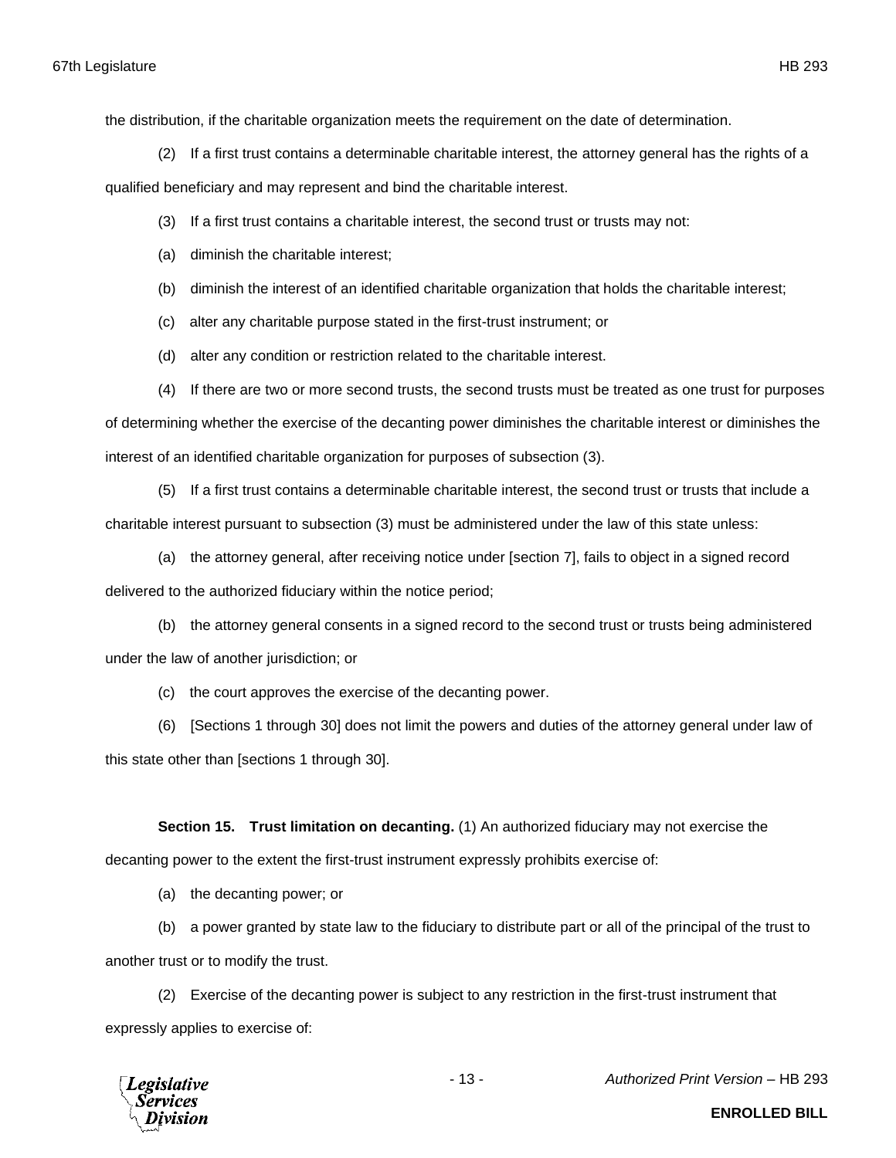the distribution, if the charitable organization meets the requirement on the date of determination.

(2) If a first trust contains a determinable charitable interest, the attorney general has the rights of a

qualified beneficiary and may represent and bind the charitable interest.

- (3) If a first trust contains a charitable interest, the second trust or trusts may not:
- (a) diminish the charitable interest;
- (b) diminish the interest of an identified charitable organization that holds the charitable interest;
- (c) alter any charitable purpose stated in the first-trust instrument; or
- (d) alter any condition or restriction related to the charitable interest.
- (4) If there are two or more second trusts, the second trusts must be treated as one trust for purposes

of determining whether the exercise of the decanting power diminishes the charitable interest or diminishes the interest of an identified charitable organization for purposes of subsection (3).

(5) If a first trust contains a determinable charitable interest, the second trust or trusts that include a charitable interest pursuant to subsection (3) must be administered under the law of this state unless:

(a) the attorney general, after receiving notice under [section 7], fails to object in a signed record delivered to the authorized fiduciary within the notice period;

(b) the attorney general consents in a signed record to the second trust or trusts being administered under the law of another jurisdiction; or

(c) the court approves the exercise of the decanting power.

(6) [Sections 1 through 30] does not limit the powers and duties of the attorney general under law of this state other than [sections 1 through 30].

**Section 15. Trust limitation on decanting.** (1) An authorized fiduciary may not exercise the decanting power to the extent the first-trust instrument expressly prohibits exercise of:

(a) the decanting power; or

(b) a power granted by state law to the fiduciary to distribute part or all of the principal of the trust to another trust or to modify the trust.

(2) Exercise of the decanting power is subject to any restriction in the first-trust instrument that expressly applies to exercise of:



- 13 - *Authorized Print Version* – HB 293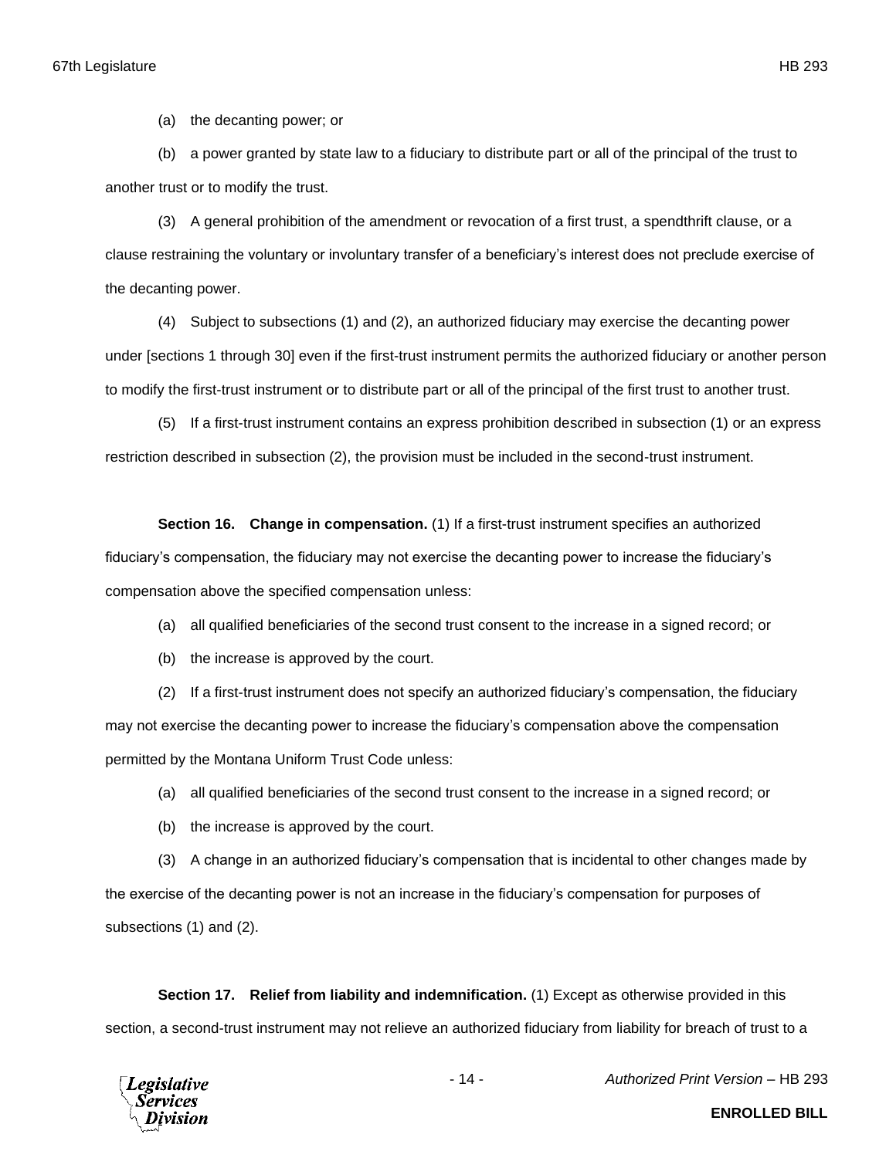(a) the decanting power; or

(b) a power granted by state law to a fiduciary to distribute part or all of the principal of the trust to another trust or to modify the trust.

(3) A general prohibition of the amendment or revocation of a first trust, a spendthrift clause, or a clause restraining the voluntary or involuntary transfer of a beneficiary's interest does not preclude exercise of the decanting power.

(4) Subject to subsections (1) and (2), an authorized fiduciary may exercise the decanting power under [sections 1 through 30] even if the first-trust instrument permits the authorized fiduciary or another person to modify the first-trust instrument or to distribute part or all of the principal of the first trust to another trust.

(5) If a first-trust instrument contains an express prohibition described in subsection (1) or an express restriction described in subsection (2), the provision must be included in the second-trust instrument.

**Section 16. Change in compensation.** (1) If a first-trust instrument specifies an authorized fiduciary's compensation, the fiduciary may not exercise the decanting power to increase the fiduciary's compensation above the specified compensation unless:

- (a) all qualified beneficiaries of the second trust consent to the increase in a signed record; or
- (b) the increase is approved by the court.

(2) If a first-trust instrument does not specify an authorized fiduciary's compensation, the fiduciary may not exercise the decanting power to increase the fiduciary's compensation above the compensation permitted by the Montana Uniform Trust Code unless:

(a) all qualified beneficiaries of the second trust consent to the increase in a signed record; or

(b) the increase is approved by the court.

(3) A change in an authorized fiduciary's compensation that is incidental to other changes made by the exercise of the decanting power is not an increase in the fiduciary's compensation for purposes of subsections (1) and (2).

**Section 17. Relief from liability and indemnification.** (1) Except as otherwise provided in this section, a second-trust instrument may not relieve an authorized fiduciary from liability for breach of trust to a



- 14 - *Authorized Print Version* – HB 293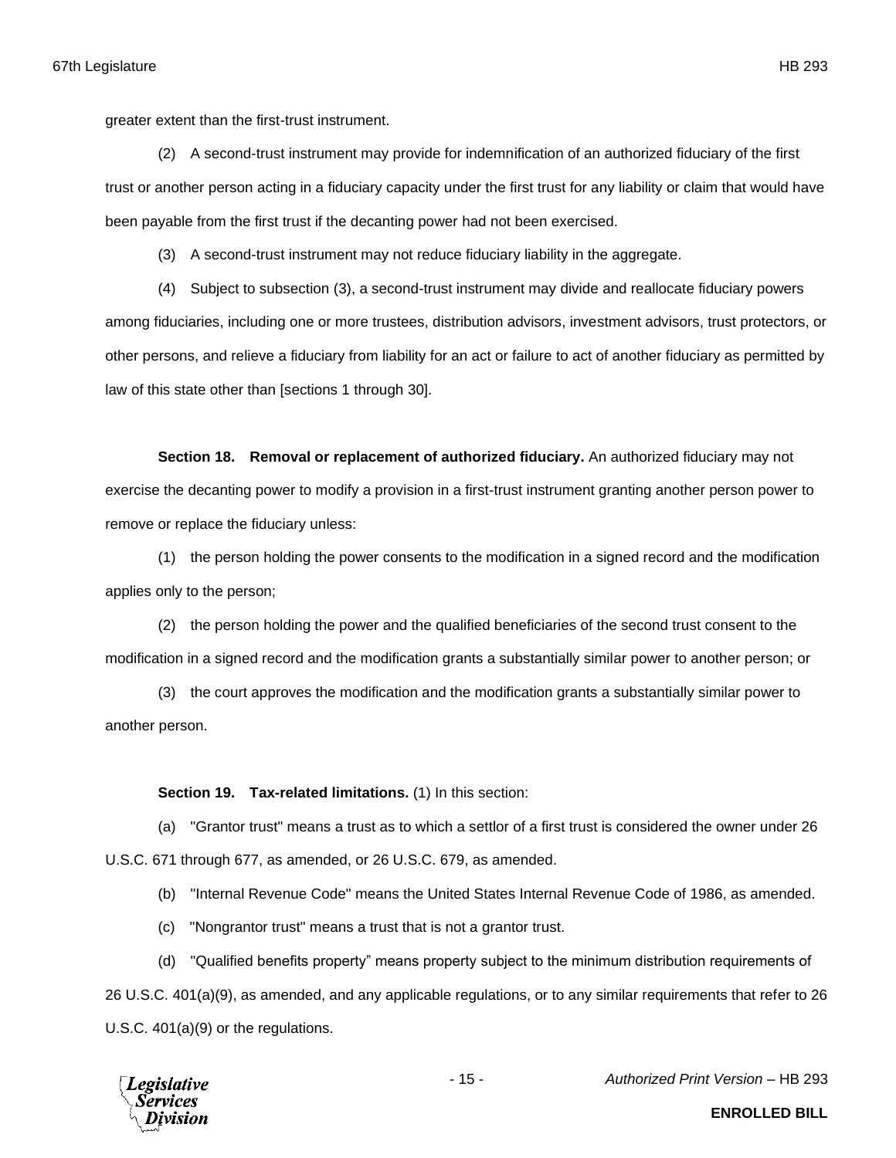greater extent than the first-trust instrument.

(2) A second-trust instrument may provide for indemnification of an authorized fiduciary of the first trust or another person acting in a fiduciary capacity under the first trust for any liability or claim that would have been payable from the first trust if the decanting power had not been exercised.

(3) A second-trust instrument may not reduce fiduciary liability in the aggregate.

(4) Subject to subsection (3), a second-trust instrument may divide and reallocate fiduciary powers among fiduciaries, including one or more trustees, distribution advisors, investment advisors, trust protectors, or other persons, and relieve a fiduciary from liability for an act or failure to act of another fiduciary as permitted by law of this state other than [sections 1 through 30].

**Section 18. Removal or replacement of authorized fiduciary.** An authorized fiduciary may not exercise the decanting power to modify a provision in a first-trust instrument granting another person power to remove or replace the fiduciary unless:

(1) the person holding the power consents to the modification in a signed record and the modification applies only to the person;

(2) the person holding the power and the qualified beneficiaries of the second trust consent to the modification in a signed record and the modification grants a substantially similar power to another person; or

(3) the court approves the modification and the modification grants a substantially similar power to another person.

**Section 19. Tax-related limitations.** (1) In this section:

(a) "Grantor trust" means a trust as to which a settlor of a first trust is considered the owner under 26 U.S.C. 671 through 677, as amended, or 26 U.S.C. 679, as amended.

(b) "Internal Revenue Code" means the United States Internal Revenue Code of 1986, as amended.

(c) "Nongrantor trust" means a trust that is not a grantor trust.

(d) "Qualified benefits property" means property subject to the minimum distribution requirements of

26 U.S.C. 401(a)(9), as amended, and any applicable regulations, or to any similar requirements that refer to 26 U.S.C. 401(a)(9) or the regulations.

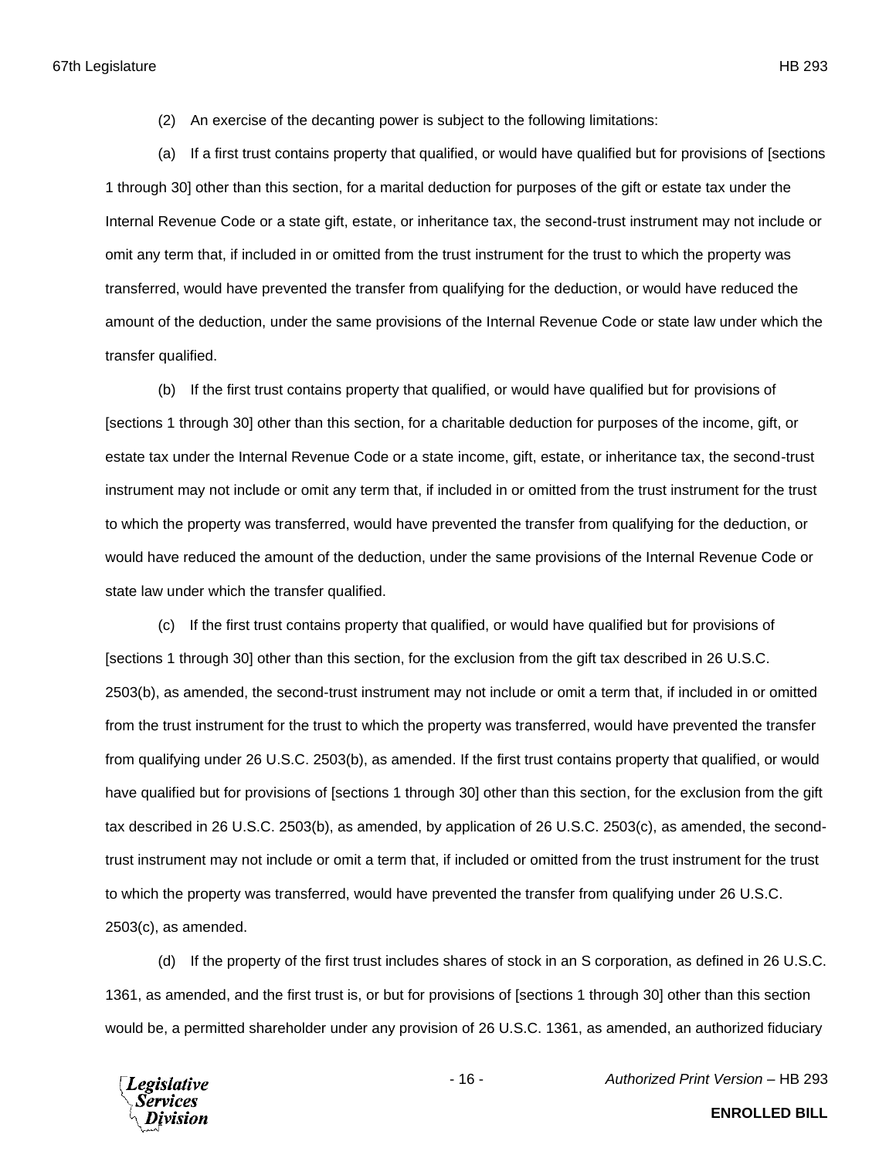(2) An exercise of the decanting power is subject to the following limitations:

(a) If a first trust contains property that qualified, or would have qualified but for provisions of [sections 1 through 30] other than this section, for a marital deduction for purposes of the gift or estate tax under the Internal Revenue Code or a state gift, estate, or inheritance tax, the second-trust instrument may not include or omit any term that, if included in or omitted from the trust instrument for the trust to which the property was transferred, would have prevented the transfer from qualifying for the deduction, or would have reduced the amount of the deduction, under the same provisions of the Internal Revenue Code or state law under which the transfer qualified.

(b) If the first trust contains property that qualified, or would have qualified but for provisions of [sections 1 through 30] other than this section, for a charitable deduction for purposes of the income, gift, or estate tax under the Internal Revenue Code or a state income, gift, estate, or inheritance tax, the second-trust instrument may not include or omit any term that, if included in or omitted from the trust instrument for the trust to which the property was transferred, would have prevented the transfer from qualifying for the deduction, or would have reduced the amount of the deduction, under the same provisions of the Internal Revenue Code or state law under which the transfer qualified.

(c) If the first trust contains property that qualified, or would have qualified but for provisions of [sections 1 through 30] other than this section, for the exclusion from the gift tax described in 26 U.S.C. 2503(b), as amended, the second-trust instrument may not include or omit a term that, if included in or omitted from the trust instrument for the trust to which the property was transferred, would have prevented the transfer from qualifying under 26 U.S.C. 2503(b), as amended. If the first trust contains property that qualified, or would have qualified but for provisions of [sections 1 through 30] other than this section, for the exclusion from the gift tax described in 26 U.S.C. 2503(b), as amended, by application of 26 U.S.C. 2503(c), as amended, the secondtrust instrument may not include or omit a term that, if included or omitted from the trust instrument for the trust to which the property was transferred, would have prevented the transfer from qualifying under 26 U.S.C. 2503(c), as amended.

(d) If the property of the first trust includes shares of stock in an S corporation, as defined in 26 U.S.C. 1361, as amended, and the first trust is, or but for provisions of [sections 1 through 30] other than this section would be, a permitted shareholder under any provision of 26 U.S.C. 1361, as amended, an authorized fiduciary



- 16 - *Authorized Print Version* – HB 293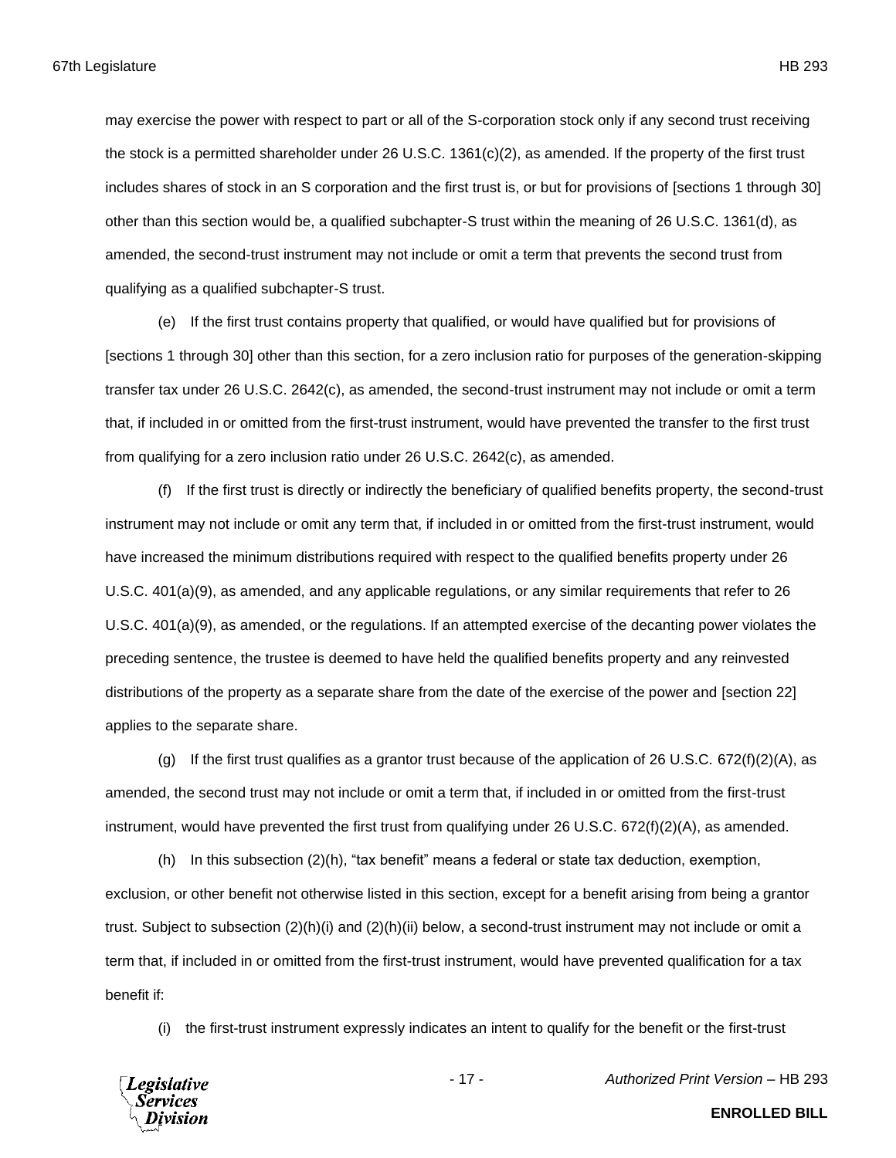may exercise the power with respect to part or all of the S-corporation stock only if any second trust receiving the stock is a permitted shareholder under 26 U.S.C. 1361(c)(2), as amended. If the property of the first trust includes shares of stock in an S corporation and the first trust is, or but for provisions of [sections 1 through 30] other than this section would be, a qualified subchapter-S trust within the meaning of 26 U.S.C. 1361(d), as amended, the second-trust instrument may not include or omit a term that prevents the second trust from qualifying as a qualified subchapter-S trust.

(e) If the first trust contains property that qualified, or would have qualified but for provisions of [sections 1 through 30] other than this section, for a zero inclusion ratio for purposes of the generation-skipping transfer tax under 26 U.S.C. 2642(c), as amended, the second-trust instrument may not include or omit a term that, if included in or omitted from the first-trust instrument, would have prevented the transfer to the first trust from qualifying for a zero inclusion ratio under 26 U.S.C. 2642(c), as amended.

(f) If the first trust is directly or indirectly the beneficiary of qualified benefits property, the second-trust instrument may not include or omit any term that, if included in or omitted from the first-trust instrument, would have increased the minimum distributions required with respect to the qualified benefits property under 26 U.S.C. 401(a)(9), as amended, and any applicable regulations, or any similar requirements that refer to 26 U.S.C. 401(a)(9), as amended, or the regulations. If an attempted exercise of the decanting power violates the preceding sentence, the trustee is deemed to have held the qualified benefits property and any reinvested distributions of the property as a separate share from the date of the exercise of the power and [section 22] applies to the separate share.

(g) If the first trust qualifies as a grantor trust because of the application of 26 U.S.C.  $672(f)(2)(A)$ , as amended, the second trust may not include or omit a term that, if included in or omitted from the first-trust instrument, would have prevented the first trust from qualifying under 26 U.S.C. 672(f)(2)(A), as amended.

(h) In this subsection (2)(h), "tax benefit" means a federal or state tax deduction, exemption, exclusion, or other benefit not otherwise listed in this section, except for a benefit arising from being a grantor trust. Subject to subsection (2)(h)(i) and (2)(h)(ii) below, a second-trust instrument may not include or omit a term that, if included in or omitted from the first-trust instrument, would have prevented qualification for a tax benefit if:

(i) the first-trust instrument expressly indicates an intent to qualify for the benefit or the first-trust



- 17 - *Authorized Print Version* – HB 293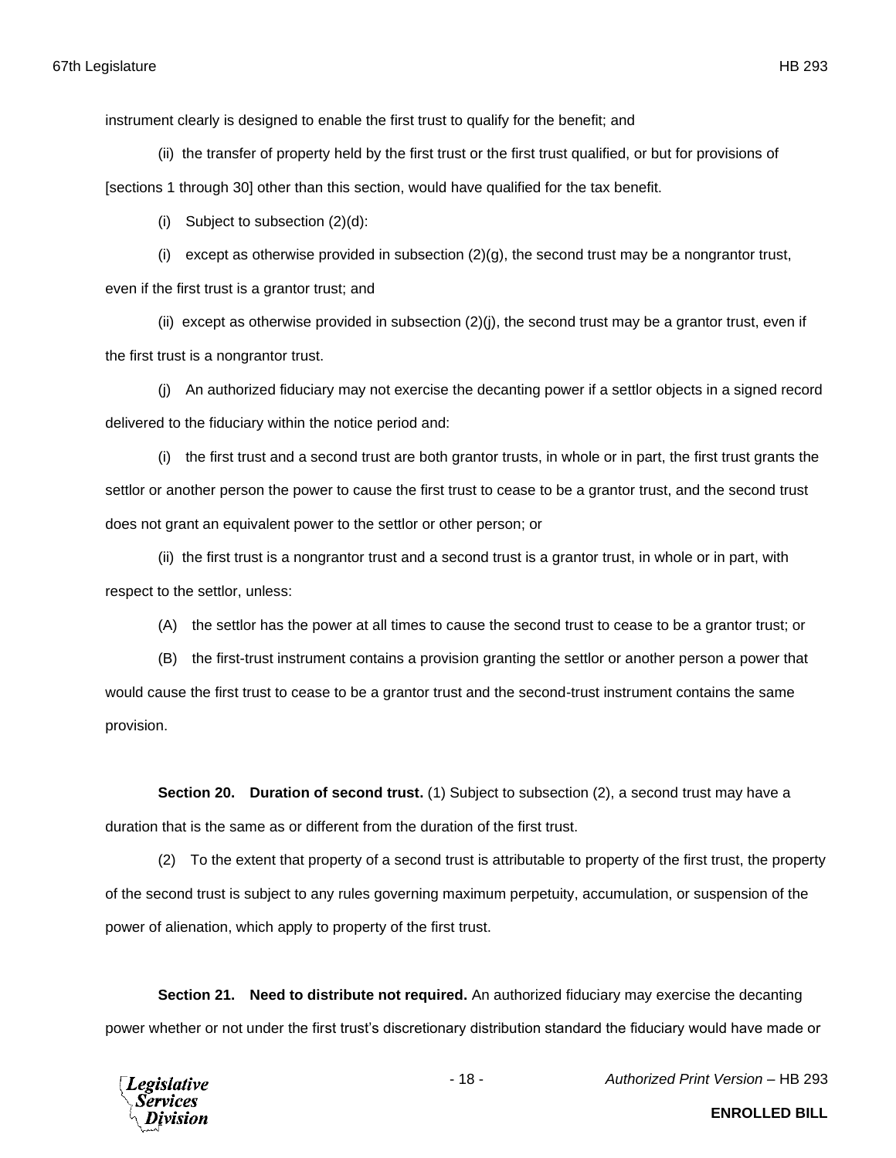instrument clearly is designed to enable the first trust to qualify for the benefit; and

(ii) the transfer of property held by the first trust or the first trust qualified, or but for provisions of

[sections 1 through 30] other than this section, would have qualified for the tax benefit.

(i) Subject to subsection (2)(d):

(i) except as otherwise provided in subsection  $(2)(g)$ , the second trust may be a nongrantor trust,

even if the first trust is a grantor trust; and

(ii) except as otherwise provided in subsection  $(2)(j)$ , the second trust may be a grantor trust, even if the first trust is a nongrantor trust.

(j) An authorized fiduciary may not exercise the decanting power if a settlor objects in a signed record delivered to the fiduciary within the notice period and:

(i) the first trust and a second trust are both grantor trusts, in whole or in part, the first trust grants the settlor or another person the power to cause the first trust to cease to be a grantor trust, and the second trust does not grant an equivalent power to the settlor or other person; or

(ii) the first trust is a nongrantor trust and a second trust is a grantor trust, in whole or in part, with respect to the settlor, unless:

(A) the settlor has the power at all times to cause the second trust to cease to be a grantor trust; or

(B) the first-trust instrument contains a provision granting the settlor or another person a power that would cause the first trust to cease to be a grantor trust and the second-trust instrument contains the same provision.

**Section 20. Duration of second trust.** (1) Subject to subsection (2), a second trust may have a duration that is the same as or different from the duration of the first trust.

(2) To the extent that property of a second trust is attributable to property of the first trust, the property of the second trust is subject to any rules governing maximum perpetuity, accumulation, or suspension of the power of alienation, which apply to property of the first trust.

**Section 21. Need to distribute not required.** An authorized fiduciary may exercise the decanting power whether or not under the first trust's discretionary distribution standard the fiduciary would have made or



- 18 - *Authorized Print Version* – HB 293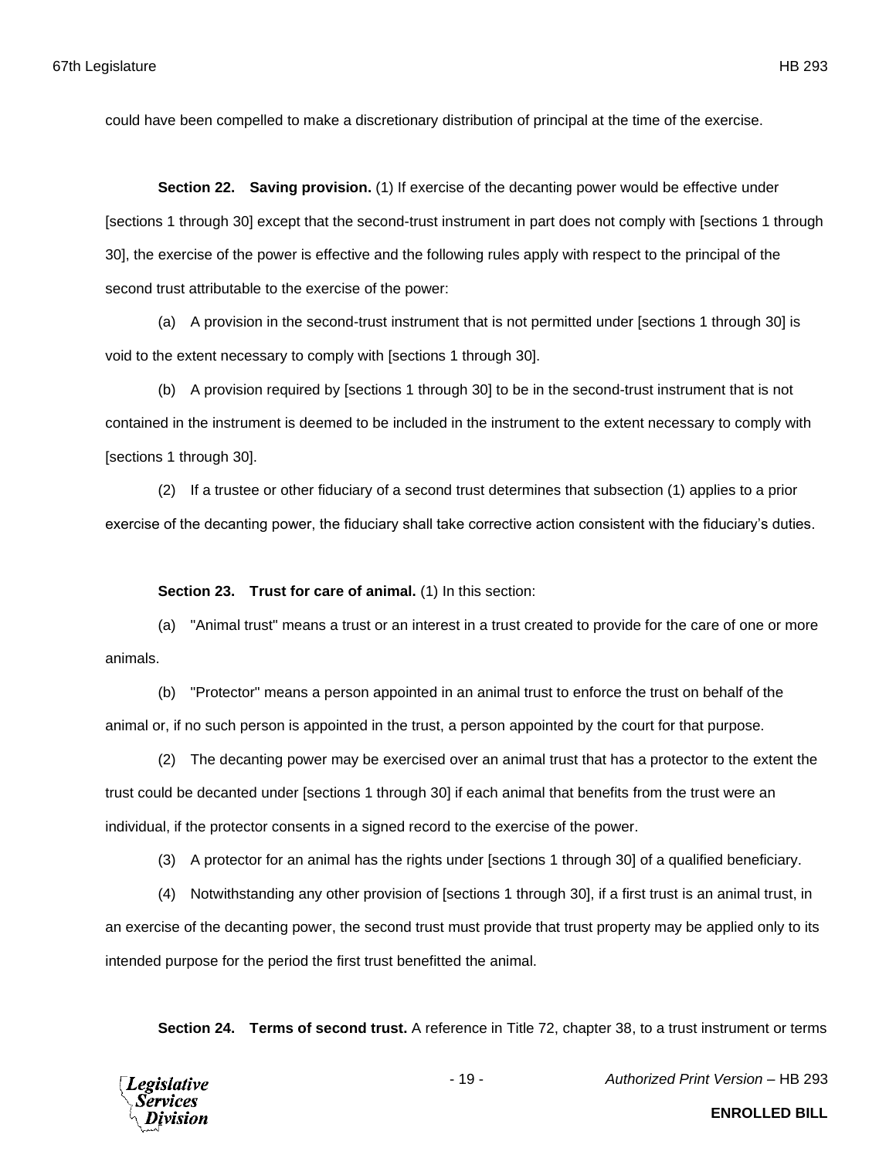could have been compelled to make a discretionary distribution of principal at the time of the exercise.

**Section 22. Saving provision.** (1) If exercise of the decanting power would be effective under [sections 1 through 30] except that the second-trust instrument in part does not comply with [sections 1 through 30], the exercise of the power is effective and the following rules apply with respect to the principal of the second trust attributable to the exercise of the power:

(a) A provision in the second-trust instrument that is not permitted under [sections 1 through 30] is void to the extent necessary to comply with [sections 1 through 30].

(b) A provision required by [sections 1 through 30] to be in the second-trust instrument that is not contained in the instrument is deemed to be included in the instrument to the extent necessary to comply with [sections 1 through 30].

(2) If a trustee or other fiduciary of a second trust determines that subsection (1) applies to a prior exercise of the decanting power, the fiduciary shall take corrective action consistent with the fiduciary's duties.

**Section 23. Trust for care of animal.** (1) In this section:

(a) "Animal trust" means a trust or an interest in a trust created to provide for the care of one or more animals.

(b) "Protector" means a person appointed in an animal trust to enforce the trust on behalf of the animal or, if no such person is appointed in the trust, a person appointed by the court for that purpose.

(2) The decanting power may be exercised over an animal trust that has a protector to the extent the trust could be decanted under [sections 1 through 30] if each animal that benefits from the trust were an individual, if the protector consents in a signed record to the exercise of the power.

(3) A protector for an animal has the rights under [sections 1 through 30] of a qualified beneficiary.

(4) Notwithstanding any other provision of [sections 1 through 30], if a first trust is an animal trust, in an exercise of the decanting power, the second trust must provide that trust property may be applied only to its intended purpose for the period the first trust benefitted the animal.

**Section 24. Terms of second trust.** A reference in Title 72, chapter 38, to a trust instrument or terms

**Legislative** Services

- 19 - *Authorized Print Version* – HB 293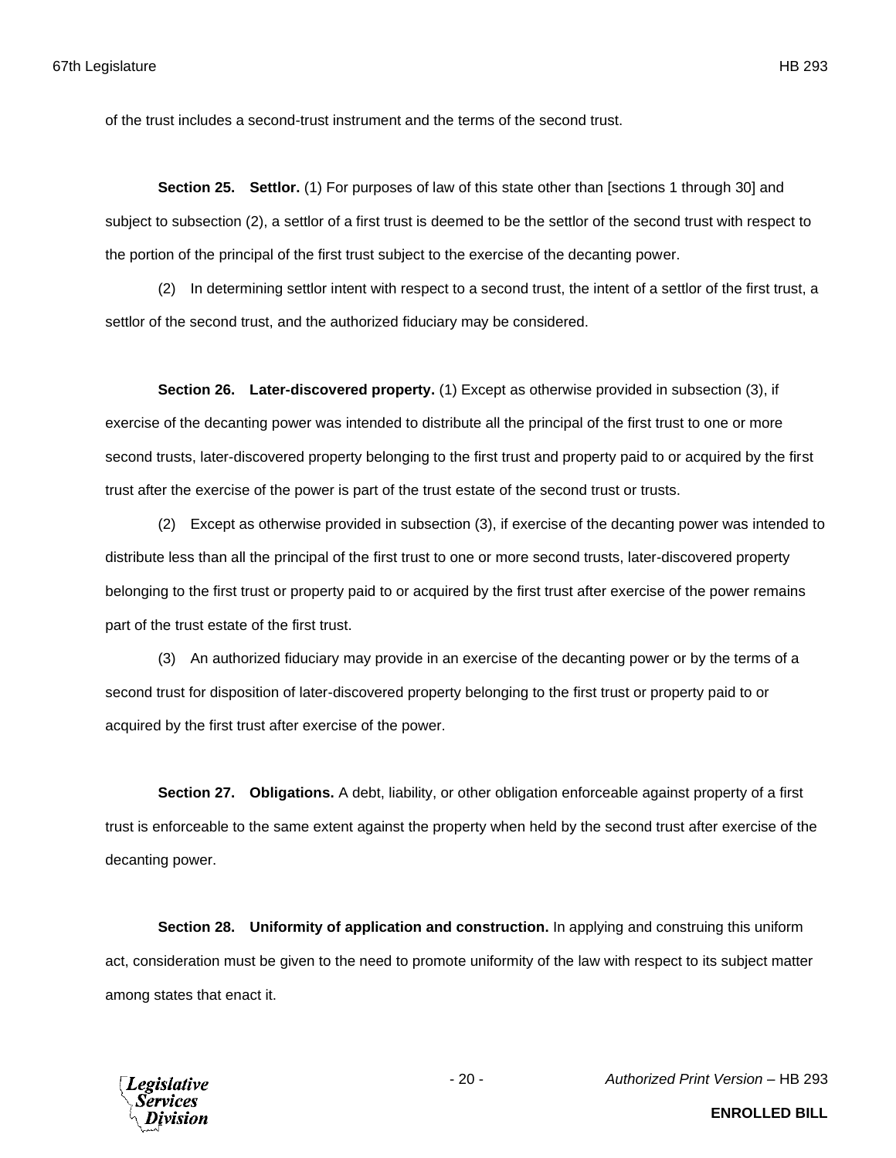of the trust includes a second-trust instrument and the terms of the second trust.

**Section 25. Settlor.** (1) For purposes of law of this state other than [sections 1 through 30] and subject to subsection (2), a settlor of a first trust is deemed to be the settlor of the second trust with respect to the portion of the principal of the first trust subject to the exercise of the decanting power.

(2) In determining settlor intent with respect to a second trust, the intent of a settlor of the first trust, a settlor of the second trust, and the authorized fiduciary may be considered.

**Section 26. Later-discovered property.** (1) Except as otherwise provided in subsection (3), if exercise of the decanting power was intended to distribute all the principal of the first trust to one or more second trusts, later-discovered property belonging to the first trust and property paid to or acquired by the first trust after the exercise of the power is part of the trust estate of the second trust or trusts.

(2) Except as otherwise provided in subsection (3), if exercise of the decanting power was intended to distribute less than all the principal of the first trust to one or more second trusts, later-discovered property belonging to the first trust or property paid to or acquired by the first trust after exercise of the power remains part of the trust estate of the first trust.

(3) An authorized fiduciary may provide in an exercise of the decanting power or by the terms of a second trust for disposition of later-discovered property belonging to the first trust or property paid to or acquired by the first trust after exercise of the power.

**Section 27. Obligations.** A debt, liability, or other obligation enforceable against property of a first trust is enforceable to the same extent against the property when held by the second trust after exercise of the decanting power.

**Section 28. Uniformity of application and construction.** In applying and construing this uniform act, consideration must be given to the need to promote uniformity of the law with respect to its subject matter among states that enact it.



**ENROLLED BILL**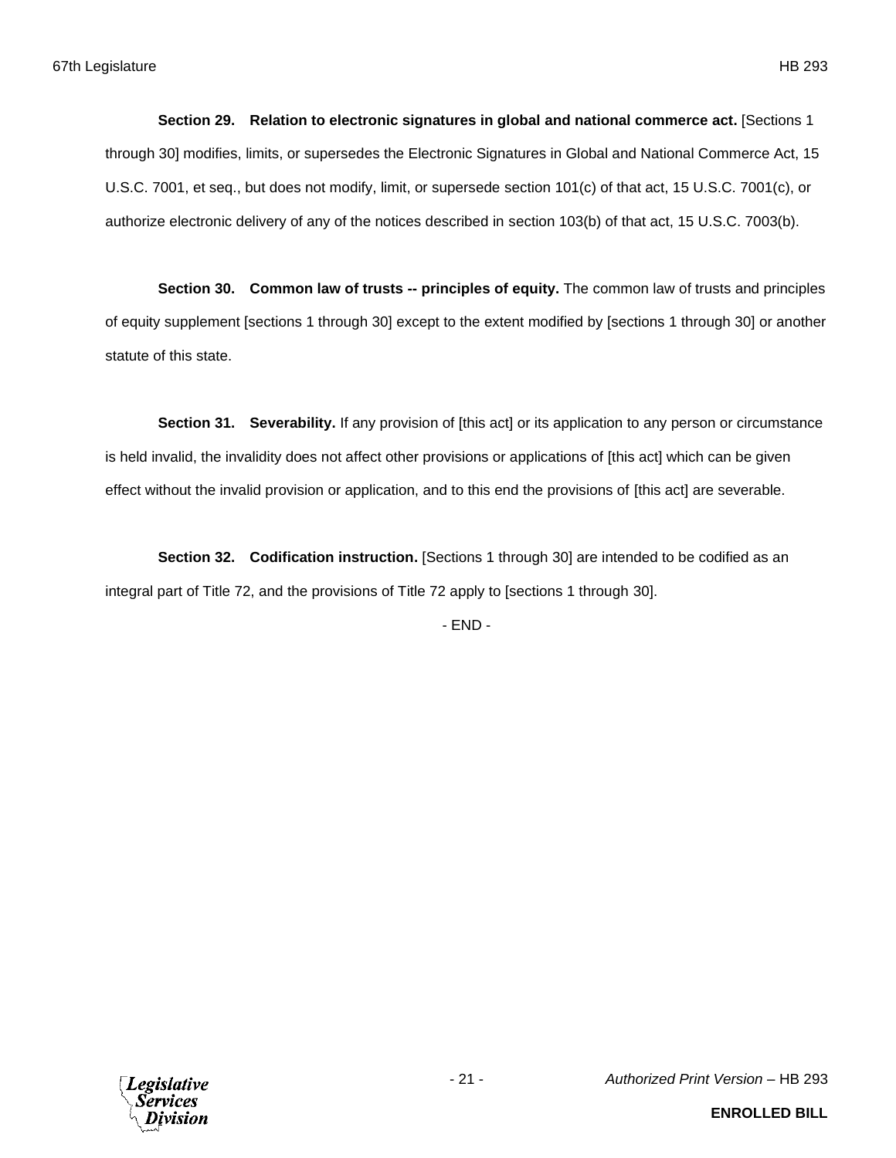**Section 29. Relation to electronic signatures in global and national commerce act.** [Sections 1 through 30] modifies, limits, or supersedes the Electronic Signatures in Global and National Commerce Act, 15 U.S.C. 7001, et seq., but does not modify, limit, or supersede section 101(c) of that act, 15 U.S.C. 7001(c), or authorize electronic delivery of any of the notices described in section 103(b) of that act, 15 U.S.C. 7003(b).

**Section 30. Common law of trusts -- principles of equity.** The common law of trusts and principles of equity supplement [sections 1 through 30] except to the extent modified by [sections 1 through 30] or another statute of this state.

**Section 31. Severability.** If any provision of [this act] or its application to any person or circumstance is held invalid, the invalidity does not affect other provisions or applications of [this act] which can be given effect without the invalid provision or application, and to this end the provisions of [this act] are severable.

**Section 32. Codification instruction.** [Sections 1 through 30] are intended to be codified as an integral part of Title 72, and the provisions of Title 72 apply to [sections 1 through 30].

- END -

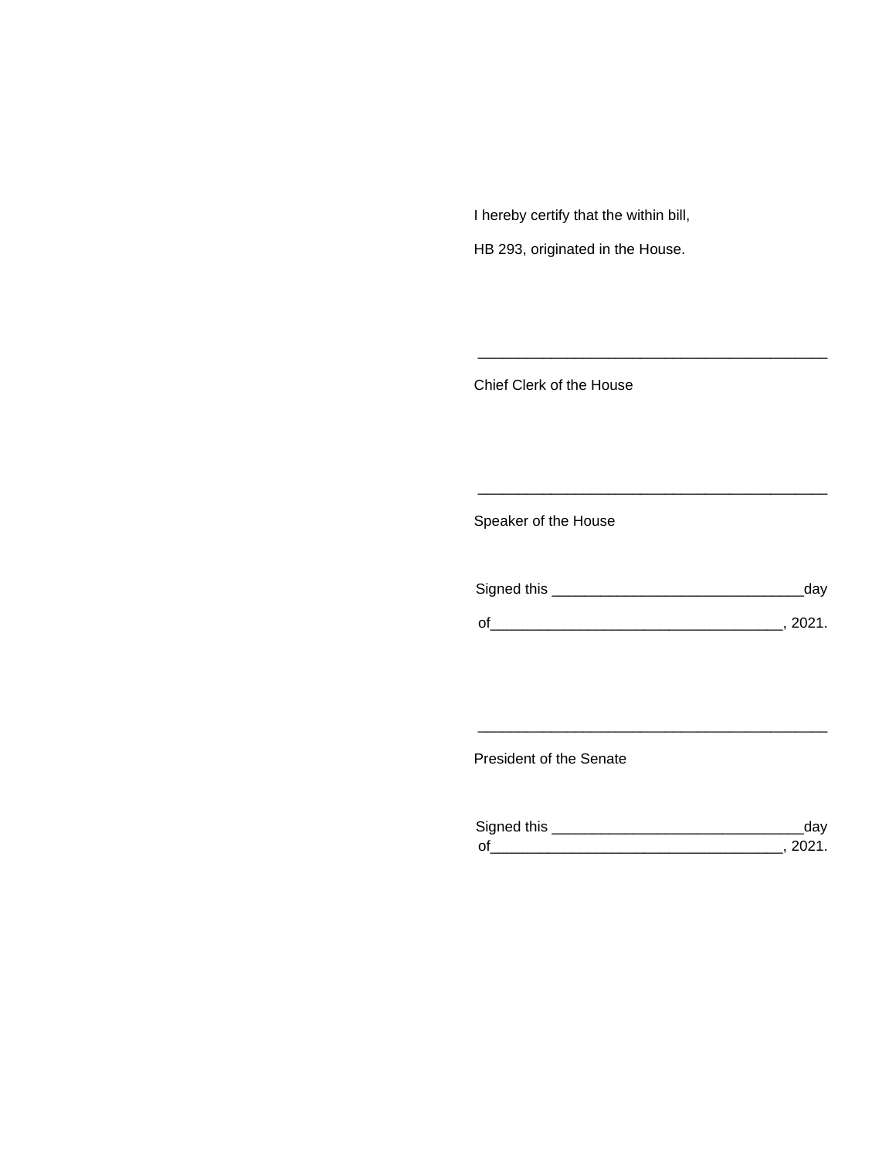I hereby certify that the within bill,

HB 293, originated in the House.

Chief Clerk of the House

Speaker of the House

| Signed this | dav    |
|-------------|--------|
| $\Omega'$   | -2021. |

\_\_\_\_\_\_\_\_\_\_\_\_\_\_\_\_\_\_\_\_\_\_\_\_\_\_\_\_\_\_\_\_\_\_\_\_\_\_\_\_\_\_\_

\_\_\_\_\_\_\_\_\_\_\_\_\_\_\_\_\_\_\_\_\_\_\_\_\_\_\_\_\_\_\_\_\_\_\_\_\_\_\_\_\_\_\_

President of the Senate

| Sianed this |  |
|-------------|--|
| $\Omega$    |  |

\_\_\_\_\_\_\_\_\_\_\_\_\_\_\_\_\_\_\_\_\_\_\_\_\_\_\_\_\_\_\_\_\_\_\_\_\_\_\_\_\_\_\_